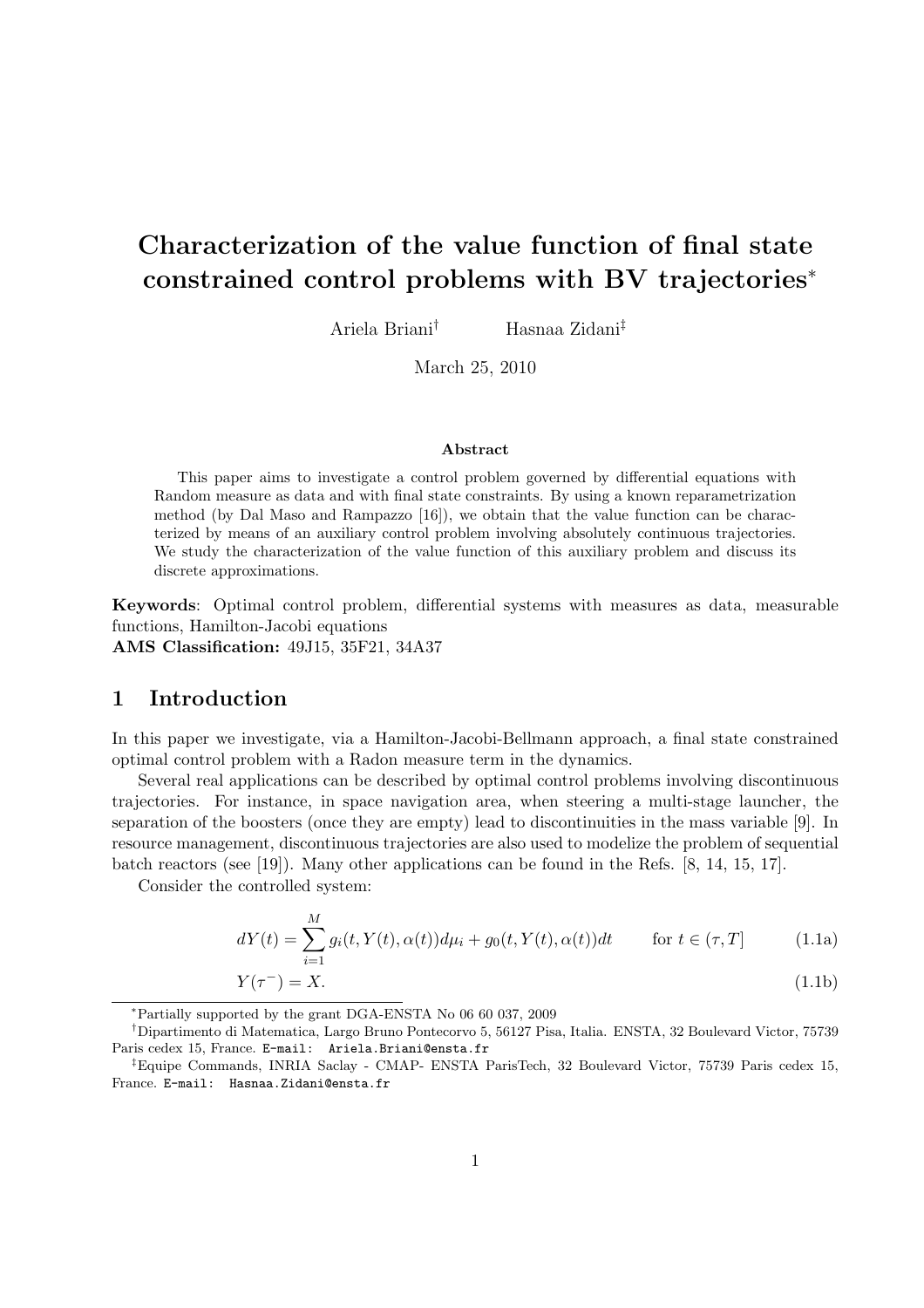# Characterization of the value function of final state constrained control problems with BV trajectories<sup>∗</sup>

Ariela Briani† Hasnaa Zidani‡

March 25, 2010

#### Abstract

This paper aims to investigate a control problem governed by differential equations with Random measure as data and with final state constraints. By using a known reparametrization method (by Dal Maso and Rampazzo [16]), we obtain that the value function can be characterized by means of an auxiliary control problem involving absolutely continuous trajectories. We study the characterization of the value function of this auxiliary problem and discuss its discrete approximations.

Keywords: Optimal control problem, differential systems with measures as data, measurable functions, Hamilton-Jacobi equations

AMS Classification: 49J15, 35F21, 34A37

## 1 Introduction

In this paper we investigate, via a Hamilton-Jacobi-Bellmann approach, a final state constrained optimal control problem with a Radon measure term in the dynamics.

Several real applications can be described by optimal control problems involving discontinuous trajectories. For instance, in space navigation area, when steering a multi-stage launcher, the separation of the boosters (once they are empty) lead to discontinuities in the mass variable [9]. In resource management, discontinuous trajectories are also used to modelize the problem of sequential batch reactors (see [19]). Many other applications can be found in the Refs. [8, 14, 15, 17].

Consider the controlled system:

$$
dY(t) = \sum_{i=1}^{M} g_i(t, Y(t), \alpha(t))d\mu_i + g_0(t, Y(t), \alpha(t))dt \qquad \text{for } t \in (\tau, T]
$$
 (1.1a)

$$
Y(\tau^-) = X.\tag{1.1b}
$$

<sup>∗</sup>Partially supported by the grant DGA-ENSTA No 06 60 037, 2009

<sup>†</sup>Dipartimento di Matematica, Largo Bruno Pontecorvo 5, 56127 Pisa, Italia. ENSTA, 32 Boulevard Victor, 75739 Paris cedex 15, France. E-mail: Ariela.Briani@ensta.fr

<sup>‡</sup>Equipe Commands, INRIA Saclay - CMAP- ENSTA ParisTech, 32 Boulevard Victor, 75739 Paris cedex 15, France. E-mail: Hasnaa.Zidani@ensta.fr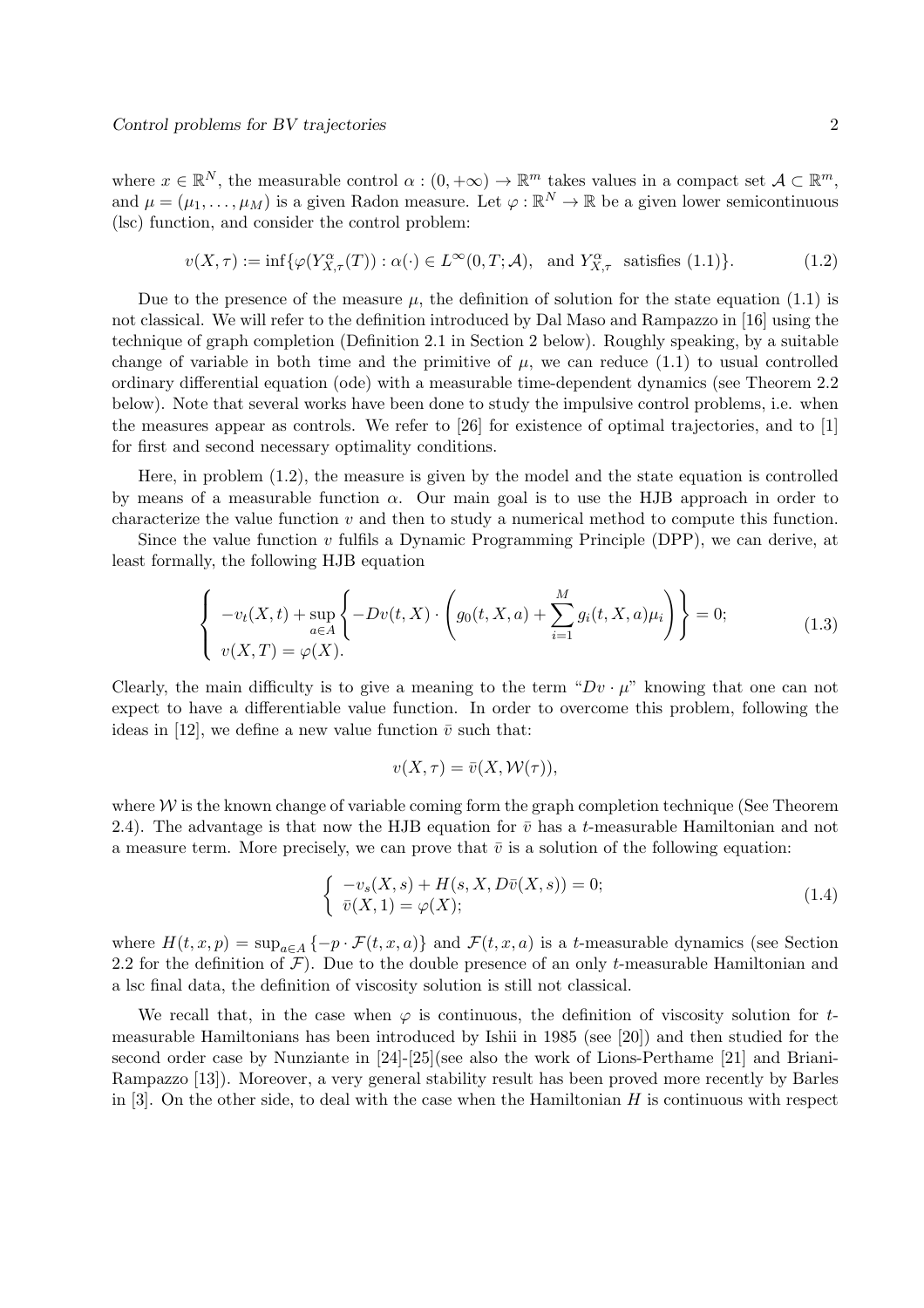where  $x \in \mathbb{R}^N$ , the measurable control  $\alpha : (0, +\infty) \to \mathbb{R}^m$  takes values in a compact set  $\mathcal{A} \subset \mathbb{R}^m$ , and  $\mu = (\mu_1, \dots, \mu_M)$  is a given Radon measure. Let  $\varphi : \mathbb{R}^N \to \mathbb{R}$  be a given lower semicontinuous (lsc) function, and consider the control problem:

$$
v(X,\tau) := \inf \{ \varphi(Y_{X,\tau}^{\alpha}(T)) : \alpha(\cdot) \in L^{\infty}(0,T;\mathcal{A}), \text{ and } Y_{X,\tau}^{\alpha} \text{ satisfies (1.1)} \}.
$$
 (1.2)

Due to the presence of the measure  $\mu$ , the definition of solution for the state equation (1.1) is not classical. We will refer to the definition introduced by Dal Maso and Rampazzo in [16] using the technique of graph completion (Definition 2.1 in Section 2 below). Roughly speaking, by a suitable change of variable in both time and the primitive of  $\mu$ , we can reduce (1.1) to usual controlled ordinary differential equation (ode) with a measurable time-dependent dynamics (see Theorem 2.2 below). Note that several works have been done to study the impulsive control problems, i.e. when the measures appear as controls. We refer to [26] for existence of optimal trajectories, and to [1] for first and second necessary optimality conditions.

Here, in problem (1.2), the measure is given by the model and the state equation is controlled by means of a measurable function  $\alpha$ . Our main goal is to use the HJB approach in order to characterize the value function  $v$  and then to study a numerical method to compute this function.

Since the value function  $v$  fulfils a Dynamic Programming Principle (DPP), we can derive, at least formally, the following HJB equation

$$
\begin{cases}\n-v_t(X,t) + \sup_{a \in A} \left\{-Dv(t,X) \cdot \left(g_0(t,X,a) + \sum_{i=1}^M g_i(t,X,a)\mu_i\right)\right\} = 0; \\
v(X,T) = \varphi(X).\n\end{cases} \tag{1.3}
$$

Clearly, the main difficulty is to give a meaning to the term " $Dv \cdot \mu$ " knowing that one can not expect to have a differentiable value function. In order to overcome this problem, following the ideas in [12], we define a new value function  $\bar{v}$  such that:

$$
v(X,\tau)=\bar{v}(X,\mathcal{W}(\tau)),
$$

where  $W$  is the known change of variable coming form the graph completion technique (See Theorem 2.4). The advantage is that now the HJB equation for  $\bar{v}$  has a t-measurable Hamiltonian and not a measure term. More precisely, we can prove that  $\bar{v}$  is a solution of the following equation:

$$
\begin{cases}\n-v_s(X,s) + H(s, X, D\bar{v}(X,s)) = 0; \\
\bar{v}(X,1) = \varphi(X);\n\end{cases}
$$
\n(1.4)

where  $H(t, x, p) = \sup_{a \in A} \{-p \cdot \mathcal{F}(t, x, a)\}\$ and  $\mathcal{F}(t, x, a)$  is a t-measurable dynamics (see Section 2.2 for the definition of  $\mathcal F$ ). Due to the double presence of an only t-measurable Hamiltonian and a lsc final data, the definition of viscosity solution is still not classical.

We recall that, in the case when  $\varphi$  is continuous, the definition of viscosity solution for tmeasurable Hamiltonians has been introduced by Ishii in 1985 (see [20]) and then studied for the second order case by Nunziante in [24]-[25](see also the work of Lions-Perthame [21] and Briani-Rampazzo [13]). Moreover, a very general stability result has been proved more recently by Barles in  $[3]$ . On the other side, to deal with the case when the Hamiltonian H is continuous with respect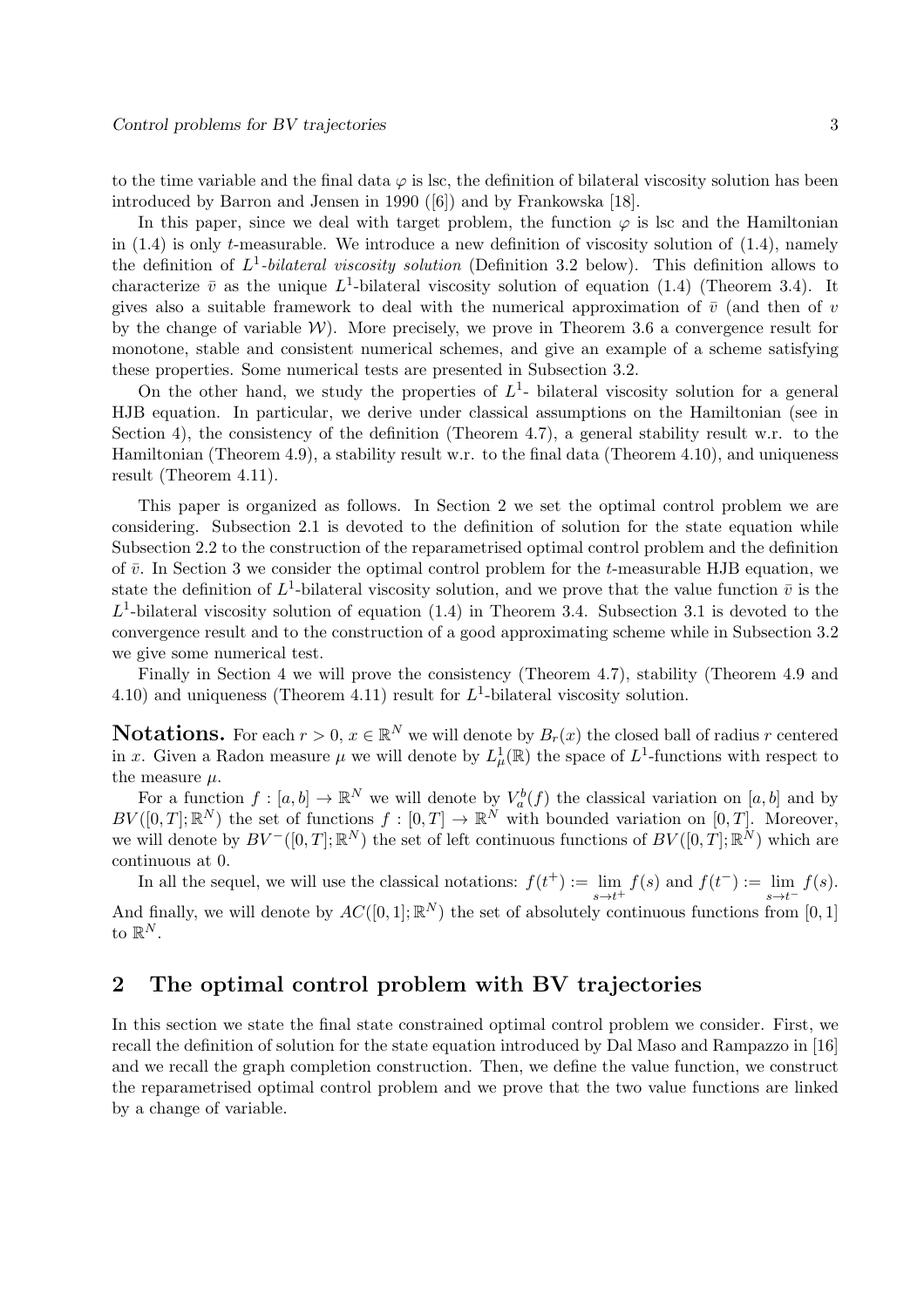to the time variable and the final data  $\varphi$  is lsc, the definition of bilateral viscosity solution has been introduced by Barron and Jensen in 1990 ([6]) and by Frankowska [18].

In this paper, since we deal with target problem, the function  $\varphi$  is lsc and the Hamiltonian in  $(1.4)$  is only t-measurable. We introduce a new definition of viscosity solution of  $(1.4)$ , namely the definition of L 1 *-bilateral viscosity solution* (Definition 3.2 below). This definition allows to characterize  $\bar{v}$  as the unique  $L^1$ -bilateral viscosity solution of equation (1.4) (Theorem 3.4). It gives also a suitable framework to deal with the numerical approximation of  $\bar{v}$  (and then of v by the change of variable  $W$ ). More precisely, we prove in Theorem 3.6 a convergence result for monotone, stable and consistent numerical schemes, and give an example of a scheme satisfying these properties. Some numerical tests are presented in Subsection 3.2.

On the other hand, we study the properties of  $L<sup>1</sup>$ - bilateral viscosity solution for a general HJB equation. In particular, we derive under classical assumptions on the Hamiltonian (see in Section 4), the consistency of the definition (Theorem 4.7), a general stability result w.r. to the Hamiltonian (Theorem 4.9), a stability result w.r. to the final data (Theorem 4.10), and uniqueness result (Theorem 4.11).

This paper is organized as follows. In Section 2 we set the optimal control problem we are considering. Subsection 2.1 is devoted to the definition of solution for the state equation while Subsection 2.2 to the construction of the reparametrised optimal control problem and the definition of  $\bar{v}$ . In Section 3 we consider the optimal control problem for the t-measurable HJB equation, we state the definition of  $L^1$ -bilateral viscosity solution, and we prove that the value function  $\bar{v}$  is the  $L^1$ -bilateral viscosity solution of equation (1.4) in Theorem 3.4. Subsection 3.1 is devoted to the convergence result and to the construction of a good approximating scheme while in Subsection 3.2 we give some numerical test.

Finally in Section 4 we will prove the consistency (Theorem 4.7), stability (Theorem 4.9 and 4.10) and uniqueness (Theorem 4.11) result for  $L^1$ -bilateral viscosity solution.

**Notations.** For each  $r > 0$ ,  $x \in \mathbb{R}^N$  we will denote by  $B_r(x)$  the closed ball of radius r centered in x. Given a Radon measure  $\mu$  we will denote by  $L^1_\mu(\mathbb{R})$  the space of  $L^1$ -functions with respect to the measure  $\mu$ .

For a function  $f : [a, b] \to \mathbb{R}^N$  we will denote by  $V_a^b(f)$  the classical variation on  $[a, b]$  and by  $BV([0,T];\mathbb{R}^N)$  the set of functions  $f:[0,T] \to \mathbb{R}^N$  with bounded variation on  $[0,T]$ . Moreover, we will denote by  $BV^-([0,T];\mathbb{R}^N)$  the set of left continuous functions of  $BV([0,T];\mathbb{R}^N)$  which are continuous at 0.

In all the sequel, we will use the classical notations:  $f(t^+) := \lim_{h \to 0}$  $s \rightarrow t^+$  $f(s)$  and  $f(t^-) := \lim$  $s \rightarrow t^$  $f(s)$ .

And finally, we will denote by  $AC([0,1]; \mathbb{R}^N)$  the set of absolutely continuous functions from  $[0,1]$ to  $\mathbb{R}^N$ .

## 2 The optimal control problem with BV trajectories

In this section we state the final state constrained optimal control problem we consider. First, we recall the definition of solution for the state equation introduced by Dal Maso and Rampazzo in [16] and we recall the graph completion construction. Then, we define the value function, we construct the reparametrised optimal control problem and we prove that the two value functions are linked by a change of variable.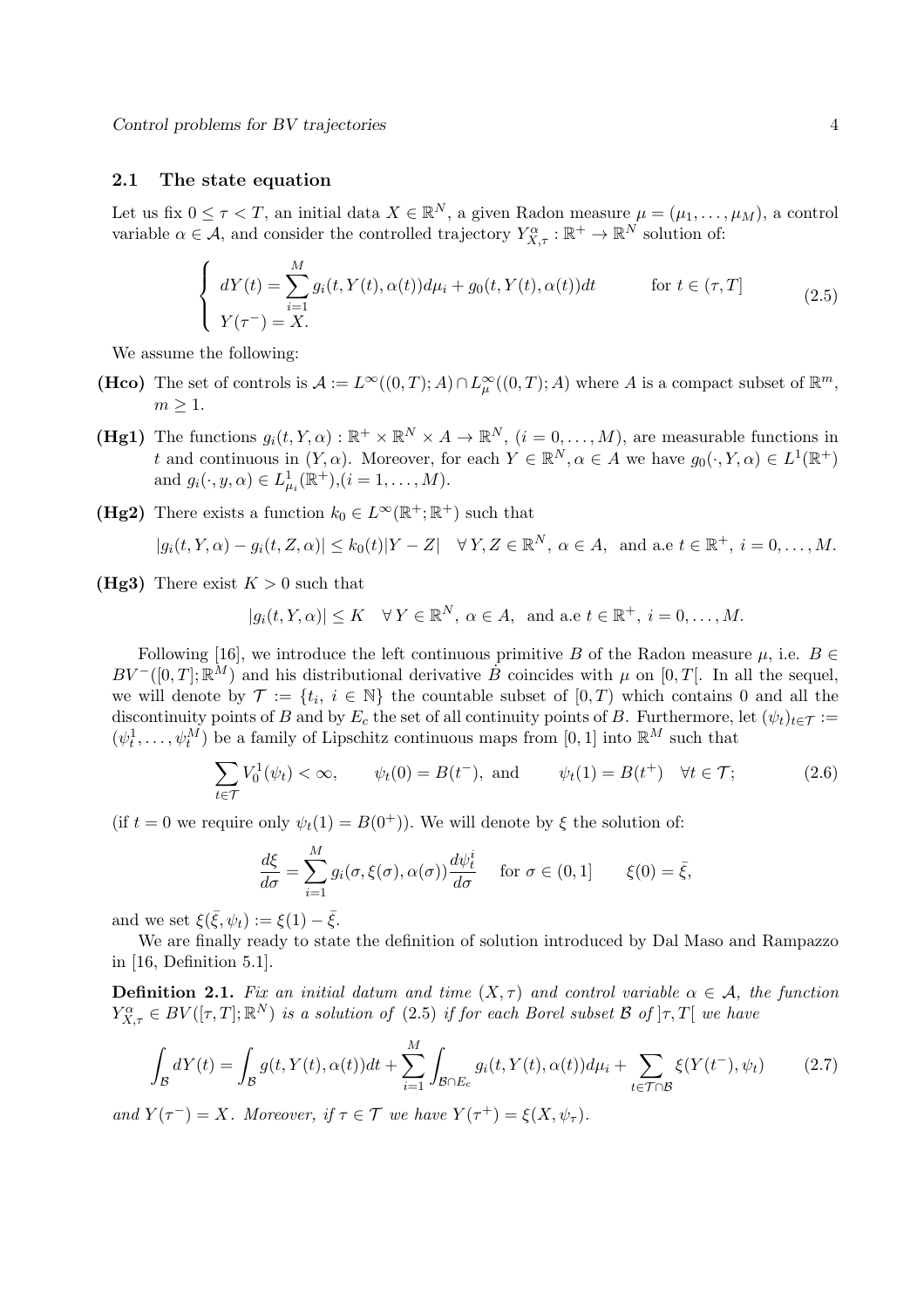## 2.1 The state equation

Let us fix  $0 \leq \tau < T$ , an initial data  $X \in \mathbb{R}^N$ , a given Radon measure  $\mu = (\mu_1, \ldots, \mu_M)$ , a control variable  $\alpha \in \mathcal{A}$ , and consider the controlled trajectory  $Y^{\alpha}_{X,\tau} : \mathbb{R}^+ \to \mathbb{R}^N$  solution of:

$$
\begin{cases}\ndY(t) = \sum_{i=1}^{M} g_i(t, Y(t), \alpha(t))d\mu_i + g_0(t, Y(t), \alpha(t))dt & \text{for } t \in (\tau, T] \\
Y(\tau^-) = X.\n\end{cases}
$$
\n(2.5)

We assume the following:

- (Hco) The set of controls is  $\mathcal{A} := L^{\infty}((0,T); A) \cap L^{\infty}_{\mu}((0,T); A)$  where A is a compact subset of  $\mathbb{R}^m$ ,  $m \geq 1$ .
- (Hg1) The functions  $g_i(t, Y, \alpha) : \mathbb{R}^+ \times \mathbb{R}^N \times A \to \mathbb{R}^N$ ,  $(i = 0, \dots, M)$ , are measurable functions in t and continuous in  $(Y, \alpha)$ . Moreover, for each  $Y \in \mathbb{R}^N, \alpha \in A$  we have  $g_0(\cdot, Y, \alpha) \in L^1(\mathbb{R}^+)$ and  $g_i(\cdot, y, \alpha) \in L^1_{\mu_i}(\mathbb{R}^+), (i = 1, \dots, M).$
- (Hg2) There exists a function  $k_0 \in L^{\infty}(\mathbb{R}^+;\mathbb{R}^+)$  such that

$$
|g_i(t, Y, \alpha) - g_i(t, Z, \alpha)| \le k_0(t)|Y - Z| \quad \forall Y, Z \in \mathbb{R}^N, \alpha \in A, \text{ and a.e } t \in \mathbb{R}^+, i = 0, \dots, M.
$$

(Hg3) There exist  $K > 0$  such that

$$
|g_i(t, Y, \alpha)| \le K \quad \forall Y \in \mathbb{R}^N, \ \alpha \in A, \text{ and a.e } t \in \mathbb{R}^+, \ i = 0, \dots, M.
$$

Following [16], we introduce the left continuous primitive B of the Radon measure  $\mu$ , i.e.  $B \in$  $BV^{-}([0,T];\mathbb{R}^M)$  and his distributional derivative  $\dot{B}$  coincides with  $\mu$  on [0, T[. In all the sequel, we will denote by  $\mathcal{T} := \{t_i, i \in \mathbb{N}\}\$  the countable subset of  $[0, T)$  which contains 0 and all the discontinuity points of B and by  $E_c$  the set of all continuity points of B. Furthermore, let  $(\psi_t)_{t \in \mathcal{T}} :=$  $(\psi_t^1, \ldots, \psi_t^M)$  be a family of Lipschitz continuous maps from [0, 1] into  $\mathbb{R}^M$  such that

$$
\sum_{t \in \mathcal{T}} V_0^1(\psi_t) < \infty, \qquad \psi_t(0) = B(t^-), \text{ and } \qquad \psi_t(1) = B(t^+) \quad \forall t \in \mathcal{T}; \tag{2.6}
$$

(if  $t = 0$  we require only  $\psi_t(1) = B(0^+)$ ). We will denote by  $\xi$  the solution of:

$$
\frac{d\xi}{d\sigma} = \sum_{i=1}^{M} g_i(\sigma, \xi(\sigma), \alpha(\sigma)) \frac{d\psi_t^i}{d\sigma} \quad \text{for } \sigma \in (0, 1] \qquad \xi(0) = \bar{\xi},
$$

and we set  $\xi(\bar{\xi}, \psi_t) := \xi(1) - \bar{\xi}$ .

We are finally ready to state the definition of solution introduced by Dal Maso and Rampazzo in [16, Definition 5.1].

**Definition 2.1.** *Fix an initial datum and time*  $(X, \tau)$  *and control variable*  $\alpha \in A$ *, the function*  $Y_{X,\tau}^{\alpha} \in BV([\tau,T];\mathbb{R}^N)$  *is a solution of* (2.5) *if for each Borel subset* B *of*  $]\tau,T[$  *we have* 

$$
\int_{\mathcal{B}} dY(t) = \int_{\mathcal{B}} g(t, Y(t), \alpha(t))dt + \sum_{i=1}^{M} \int_{\mathcal{B} \cap E_c} g_i(t, Y(t), \alpha(t))d\mu_i + \sum_{t \in \mathcal{T} \cap \mathcal{B}} \xi(Y(t^-), \psi_t)
$$
\n(2.7)

*and*  $Y(\tau^-) = X$ *. Moreover, if*  $\tau \in \mathcal{T}$  *we have*  $Y(\tau^+) = \xi(X, \psi_\tau)$ *.*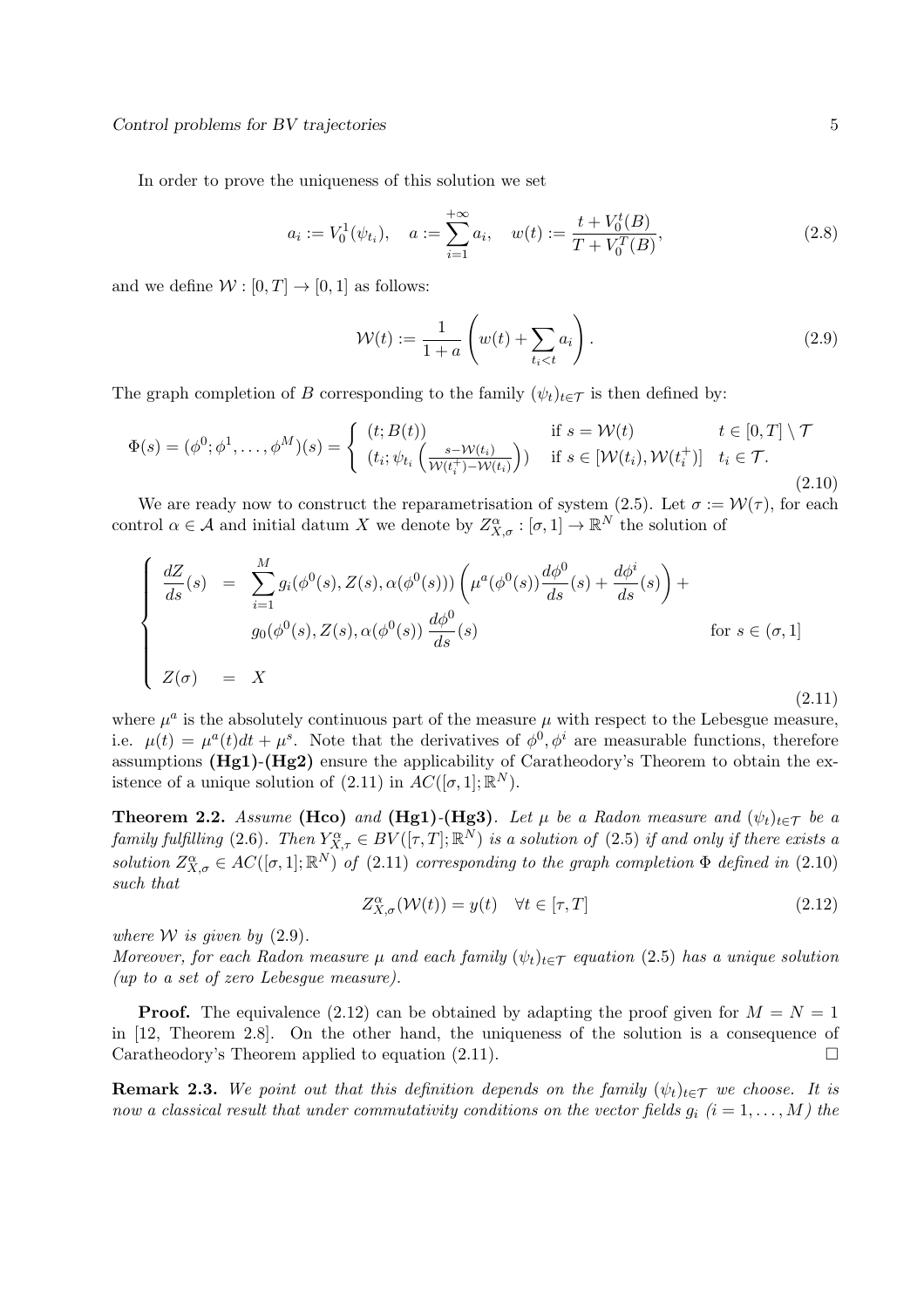In order to prove the uniqueness of this solution we set

$$
a_i := V_0^1(\psi_{t_i}), \quad a := \sum_{i=1}^{+\infty} a_i, \quad w(t) := \frac{t + V_0^t(B)}{T + V_0^T(B)},
$$
\n(2.8)

and we define  $W : [0, T] \to [0, 1]$  as follows:

$$
\mathcal{W}(t) := \frac{1}{1+a} \left( w(t) + \sum_{t_i < t} a_i \right). \tag{2.9}
$$

The graph completion of B corresponding to the family  $(\psi_t)_{t\in\mathcal{T}}$  is then defined by:

$$
\Phi(s) = (\phi^0; \phi^1, \dots, \phi^M)(s) = \begin{cases} (t; B(t)) & \text{if } s = \mathcal{W}(t) \\ (t_i; \psi_{t_i} \left( \frac{s - \mathcal{W}(t_i)}{\mathcal{W}(t_i^+) - \mathcal{W}(t_i)} \right)) & \text{if } s \in [\mathcal{W}(t_i), \mathcal{W}(t_i^+)] \quad t_i \in \mathcal{T}. \end{cases}
$$
\n(2.10)

We are ready now to construct the reparametrisation of system (2.5). Let  $\sigma := \mathcal{W}(\tau)$ , for each control  $\alpha \in \mathcal{A}$  and initial datum X we denote by  $Z_{X,\sigma}^{\alpha} : [\sigma,1] \to \mathbb{R}^N$  the solution of

$$
\begin{cases}\n\frac{dZ}{ds}(s) &= \sum_{i=1}^{M} g_i(\phi^0(s), Z(s), \alpha(\phi^0(s))) \left( \mu^a(\phi^0(s)) \frac{d\phi^0}{ds}(s) + \frac{d\phi^i}{ds}(s) \right) + \\
g_0(\phi^0(s), Z(s), \alpha(\phi^0(s)) \frac{d\phi^0}{ds}(s) & \text{for } s \in (\sigma, 1] \\
Z(\sigma) &= X\n\end{cases} \tag{2.11}
$$

where  $\mu^a$  is the absolutely continuous part of the measure  $\mu$  with respect to the Lebesgue measure, i.e.  $\mu(t) = \mu^a(t)dt + \mu^s$ . Note that the derivatives of  $\phi^0, \phi^i$  are measurable functions, therefore assumptions  $(Hg1)-(Hg2)$  ensure the applicability of Caratheodory's Theorem to obtain the existence of a unique solution of  $(2.11)$  in  $AC([\sigma, 1]; \mathbb{R}^N)$ .

**Theorem 2.2.** *Assume* (Hco) *and* (Hg1)<sup>-</sup>(Hg3)*. Let*  $\mu$  *be a Radon measure and*  $(\psi_t)_{t \in \mathcal{T}}$  *be a*  $family$  fulfilling (2.6). Then  $Y_{X,\tau}^{\alpha} \in BV([\tau,T];\mathbb{R}^N)$  is a solution of (2.5) if and only if there exists a *solution*  $Z_{X,\sigma}^{\alpha} \in AC([\sigma,1];\mathbb{R}^N)$  *of* (2.11) *corresponding to the graph completion*  $\Phi$  *defined in* (2.10) *such that*

$$
Z_{X,\sigma}^{\alpha}(\mathcal{W}(t)) = y(t) \quad \forall t \in [\tau, T]
$$
\n(2.12)

*where W is given by*  $(2.9)$ *.* 

*Moreover, for each Radon measure*  $\mu$  *and each family*  $(\psi_t)_{t\in\mathcal{T}}$  *equation* (2.5) *has a unique solution (up to a set of zero Lebesgue measure).*

**Proof.** The equivalence (2.12) can be obtained by adapting the proof given for  $M = N = 1$ in [12, Theorem 2.8]. On the other hand, the uniqueness of the solution is a consequence of Caratheodory's Theorem applied to equation  $(2.11)$ .

**Remark 2.3.** We point out that this definition depends on the family  $(\psi_t)_{t \in \mathcal{T}}$  we choose. It is *now a classical result that under commutativity conditions on the vector fields*  $g_i$  ( $i = 1, \ldots, M$ ) the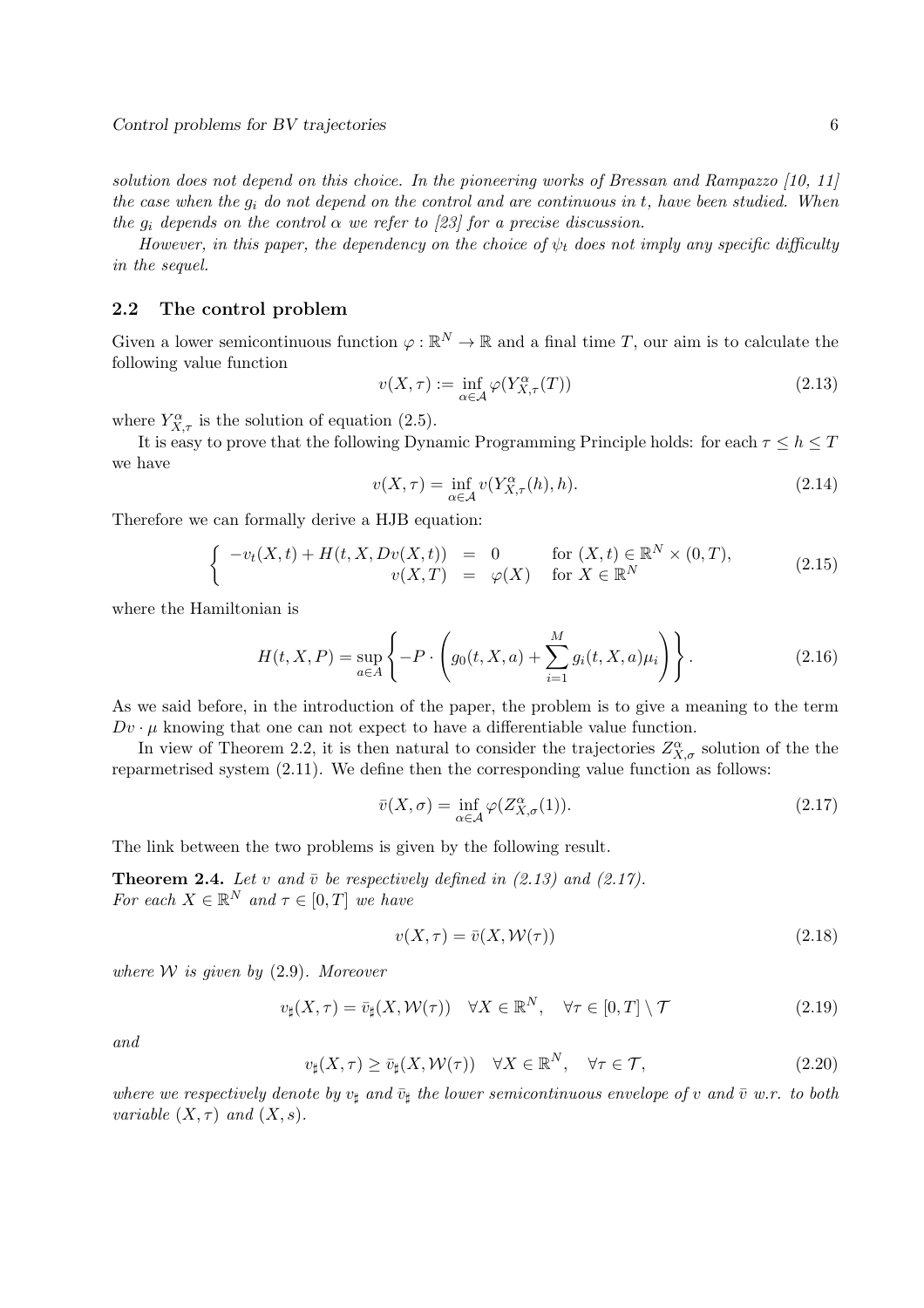*solution does not depend on this choice. In the pioneering works of Bressan and Rampazzo [10, 11] the case when the* g<sup>i</sup> *do not depend on the control and are continuous in* t*, have been studied. When the*  $g_i$  *depends on the control*  $\alpha$  *we refer to [23] for a precise discussion.* 

*However, in this paper, the dependency on the choice of*  $\psi_t$  *does not imply any specific difficulty in the sequel.*

#### 2.2 The control problem

Given a lower semicontinuous function  $\varphi : \mathbb{R}^N \to \mathbb{R}$  and a final time T, our aim is to calculate the following value function

$$
v(X,\tau) := \inf_{\alpha \in \mathcal{A}} \varphi(Y_{X,\tau}^{\alpha}(T))
$$
\n(2.13)

where  $Y_{X,\tau}^{\alpha}$  is the solution of equation (2.5).

It is easy to prove that the following Dynamic Programming Principle holds: for each  $\tau \leq h \leq T$ we have

$$
v(X,\tau) = \inf_{\alpha \in \mathcal{A}} v(Y_{X,\tau}^{\alpha}(h),h). \tag{2.14}
$$

Therefore we can formally derive a HJB equation:

$$
\begin{cases}\n-v_t(X,t) + H(t,X,Dv(X,t)) &= 0 & \text{for } (X,t) \in \mathbb{R}^N \times (0,T), \\
v(X,T) &= \varphi(X) & \text{for } X \in \mathbb{R}^N\n\end{cases}
$$
\n(2.15)

where the Hamiltonian is

$$
H(t, X, P) = \sup_{a \in A} \left\{ -P \cdot \left( g_0(t, X, a) + \sum_{i=1}^{M} g_i(t, X, a) \mu_i \right) \right\}.
$$
 (2.16)

As we said before, in the introduction of the paper, the problem is to give a meaning to the term  $Dv \cdot \mu$  knowing that one can not expect to have a differentiable value function.

In view of Theorem 2.2, it is then natural to consider the trajectories  $Z^{\alpha}_{X,\sigma}$  solution of the the reparmetrised system (2.11). We define then the corresponding value function as follows:

$$
\bar{v}(X,\sigma) = \inf_{\alpha \in \mathcal{A}} \varphi(Z_{X,\sigma}^{\alpha}(1)).
$$
\n(2.17)

The link between the two problems is given by the following result.

**Theorem 2.4.** Let v and  $\bar{v}$  be respectively defined in (2.13) and (2.17). *For each*  $X \in \mathbb{R}^N$  *and*  $\tau \in [0, T]$  *we have* 

$$
v(X,\tau) = \bar{v}(X,\mathcal{W}(\tau))
$$
\n(2.18)

*where* W *is given by* (2.9)*. Moreover*

$$
v_{\sharp}(X,\tau) = \bar{v}_{\sharp}(X,\mathcal{W}(\tau)) \quad \forall X \in \mathbb{R}^{N}, \quad \forall \tau \in [0,T] \setminus \mathcal{T}
$$
\n(2.19)

*and*

$$
v_{\sharp}(X,\tau) \ge \bar{v}_{\sharp}(X,\mathcal{W}(\tau)) \quad \forall X \in \mathbb{R}^{N}, \quad \forall \tau \in \mathcal{T}, \tag{2.20}
$$

*where we respectively denote by*  $v_{\sharp}$  *and*  $\bar{v}_{\sharp}$  *the lower semicontinuous envelope of* v *and*  $\bar{v}$  *w.r. to both variable*  $(X, \tau)$  *and*  $(X, s)$ *.*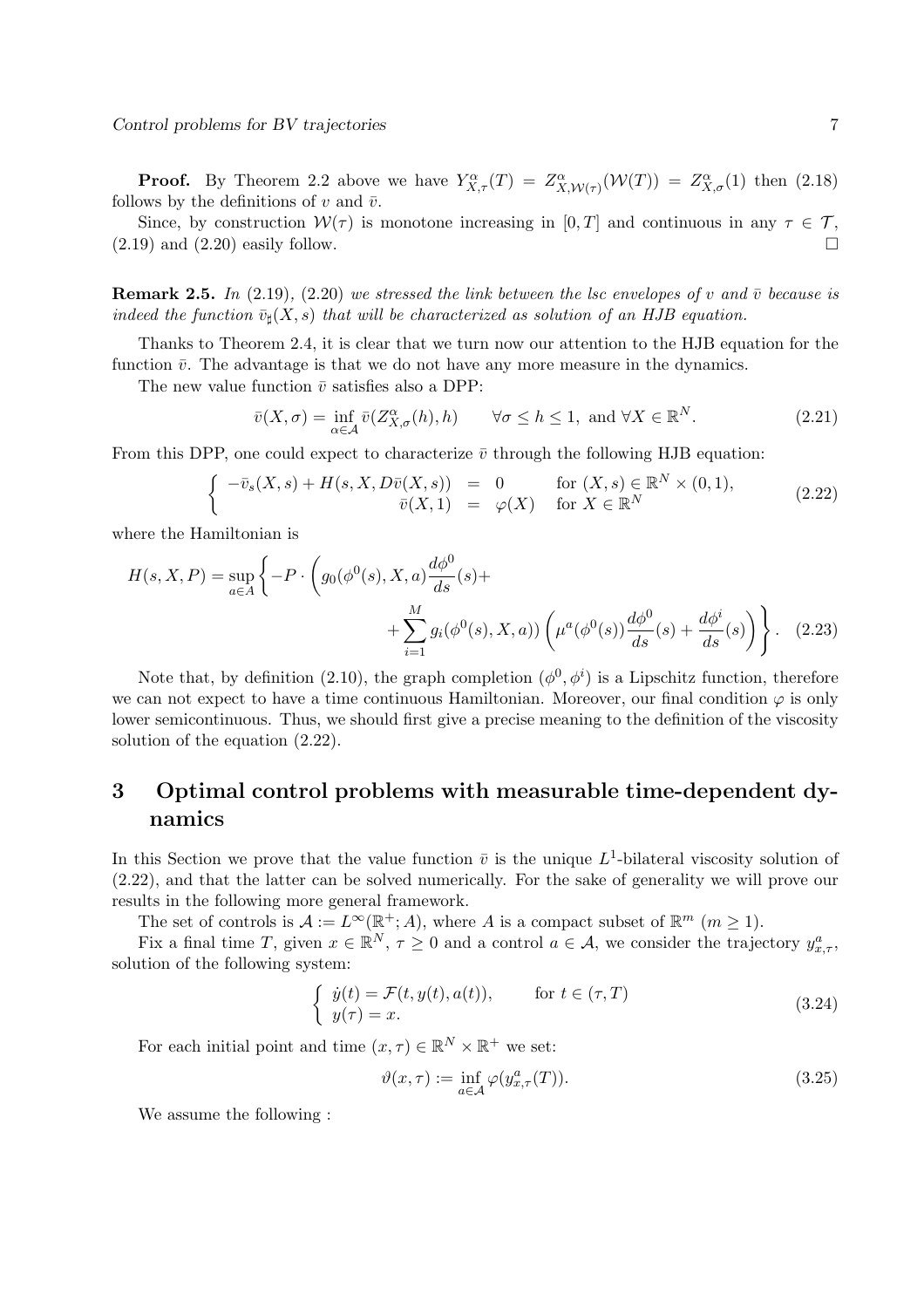**Proof.** By Theorem 2.2 above we have  $Y^{\alpha}_{X,\tau}(T) = Z^{\alpha}_{X,\mathcal{W}(\tau)}(\mathcal{W}(T)) = Z^{\alpha}_{X,\sigma}(1)$  then (2.18) follows by the definitions of v and  $\bar{v}$ .

Since, by construction  $W(\tau)$  is monotone increasing in [0, T] and continuous in any  $\tau \in \mathcal{T}$ ,  $(2.19)$  and  $(2.20)$  easily follow.

**Remark 2.5.** *In* (2.19)*,* (2.20) *we stressed the link between the lsc envelopes of v and*  $\bar{v}$  *because is indeed the function*  $\bar{v}_{\sharp}(X, s)$  *that will be characterized as solution of an HJB equation.* 

Thanks to Theorem 2.4, it is clear that we turn now our attention to the HJB equation for the function  $\bar{v}$ . The advantage is that we do not have any more measure in the dynamics.

The new value function  $\bar{v}$  satisfies also a DPP:

$$
\bar{v}(X,\sigma) = \inf_{\alpha \in \mathcal{A}} \bar{v}(Z_{X,\sigma}^{\alpha}(h),h) \qquad \forall \sigma \le h \le 1, \text{ and } \forall X \in \mathbb{R}^N. \tag{2.21}
$$

From this DPP, one could expect to characterize  $\bar{v}$  through the following HJB equation:

$$
\begin{cases}\n-\overline{v}_s(X,s) + H(s,X,D\overline{v}(X,s)) = 0 & \text{for } (X,s) \in \mathbb{R}^N \times (0,1), \\
\overline{v}(X,1) = \varphi(X) & \text{for } X \in \mathbb{R}^N\n\end{cases} (2.22)
$$

where the Hamiltonian is

$$
H(s, X, P) = \sup_{a \in A} \left\{ -P \cdot \left( g_0(\phi^0(s), X, a) \frac{d\phi^0}{ds}(s) + \sum_{i=1}^M g_i(\phi^0(s), X, a) \right) \left( \mu^a(\phi^0(s)) \frac{d\phi^0}{ds}(s) + \frac{d\phi^i}{ds}(s) \right) \right\}.
$$
 (2.23)

Note that, by definition (2.10), the graph completion  $(\phi^0, \phi^i)$  is a Lipschitz function, therefore we can not expect to have a time continuous Hamiltonian. Moreover, our final condition  $\varphi$  is only lower semicontinuous. Thus, we should first give a precise meaning to the definition of the viscosity solution of the equation (2.22).

## 3 Optimal control problems with measurable time-dependent dynamics

In this Section we prove that the value function  $\bar{v}$  is the unique  $L^1$ -bilateral viscosity solution of (2.22), and that the latter can be solved numerically. For the sake of generality we will prove our results in the following more general framework.

The set of controls is  $\mathcal{A} := L^{\infty}(\mathbb{R}^+; A)$ , where A is a compact subset of  $\mathbb{R}^m$   $(m \ge 1)$ .

Fix a final time T, given  $x \in \mathbb{R}^N$ ,  $\tau \geq 0$  and a control  $a \in \mathcal{A}$ , we consider the trajectory  $y_{x,\tau}^a$ , solution of the following system:

$$
\begin{cases}\n\dot{y}(t) = \mathcal{F}(t, y(t), a(t)), & \text{for } t \in (\tau, T) \\
y(\tau) = x.\n\end{cases}
$$
\n(3.24)

For each initial point and time  $(x, \tau) \in \mathbb{R}^N \times \mathbb{R}^+$  we set:

$$
\vartheta(x,\tau) := \inf_{a \in \mathcal{A}} \varphi(y_{x,\tau}^a(T)). \tag{3.25}
$$

We assume the following :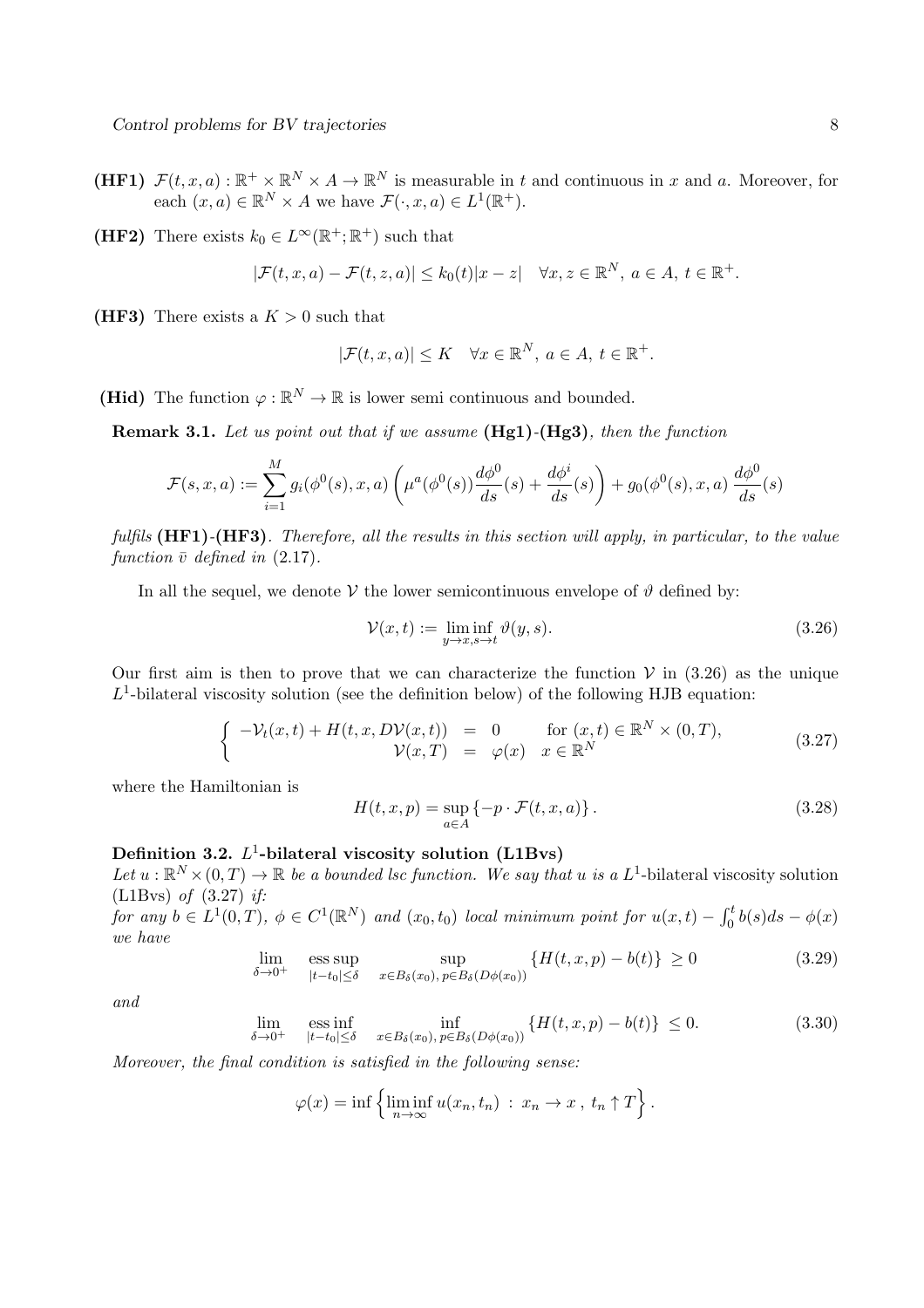- (HF1)  $\mathcal{F}(t, x, a): \mathbb{R}^+ \times \mathbb{R}^N \times A \to \mathbb{R}^N$  is measurable in t and continuous in x and a. Moreover, for each  $(x, a) \in \mathbb{R}^N \times A$  we have  $\mathcal{F}(\cdot, x, a) \in L^1(\mathbb{R}^+)$ .
- (HF2) There exists  $k_0 \in L^{\infty}(\mathbb{R}^+;\mathbb{R}^+)$  such that

$$
|\mathcal{F}(t,x,a)-\mathcal{F}(t,z,a)|\leq k_0(t)|x-z| \quad \forall x,z\in\mathbb{R}^N,\ a\in A,\ t\in\mathbb{R}^+.
$$

(HF3) There exists a  $K > 0$  such that

$$
|\mathcal{F}(t,x,a)| \leq K \quad \forall x \in \mathbb{R}^N, \ a \in A, \ t \in \mathbb{R}^+.
$$

(Hid) The function  $\varphi : \mathbb{R}^N \to \mathbb{R}$  is lower semi continuous and bounded.

Remark 3.1. *Let us point out that if we assume* (Hg1)*-*(Hg3)*, then the function*

$$
\mathcal{F}(s, x, a) := \sum_{i=1}^{M} g_i(\phi^0(s), x, a) \left( \mu^a(\phi^0(s)) \frac{d\phi^0}{ds}(s) + \frac{d\phi^i}{ds}(s) \right) + g_0(\phi^0(s), x, a) \frac{d\phi^0}{ds}(s)
$$

*fulfils* (HF1)*-*(HF3)*. Therefore, all the results in this section will apply, in particular, to the value function*  $\bar{v}$  *defined in* (2.17)*.* 

In all the sequel, we denote V the lower semicontinuous envelope of  $\vartheta$  defined by:

$$
\mathcal{V}(x,t) := \liminf_{y \to x, s \to t} \vartheta(y,s). \tag{3.26}
$$

Our first aim is then to prove that we can characterize the function  $V$  in (3.26) as the unique  $L<sup>1</sup>$ -bilateral viscosity solution (see the definition below) of the following HJB equation:

$$
\begin{cases}\n-\mathcal{V}_t(x,t) + H(t,x,D\mathcal{V}(x,t)) = 0 & \text{for } (x,t) \in \mathbb{R}^N \times (0,T), \\
\mathcal{V}(x,T) = \varphi(x) & x \in \mathbb{R}^N\n\end{cases} \tag{3.27}
$$

where the Hamiltonian is

$$
H(t, x, p) = \sup_{a \in A} \{-p \cdot \mathcal{F}(t, x, a)\}.
$$
\n(3.28)

## Definition 3.2.  $L^1$ -bilateral viscosity solution (L1Bvs)

Let  $u : \mathbb{R}^N \times (0,T) \to \mathbb{R}$  *be a bounded lsc function. We say that* u *is a* L<sup>1</sup>-bilateral viscosity solution (L1Bvs) *of* (3.27) *if:*

*for any*  $b \in L^1(0,T)$ ,  $\phi \in C^1(\mathbb{R}^N)$  *and*  $(x_0, t_0)$  *local minimum point for*  $u(x,t) - \int_0^t b(s)ds - \phi(x)$ *we have*

$$
\lim_{\delta \to 0^+} \quad \underset{|t-t_0| \le \delta}{\text{ess sup}} \quad \underset{x \in B_{\delta}(x_0), \, p \in B_{\delta}(D\phi(x_0))}{\text{sup}} \{H(t, x, p) - b(t)\} \ge 0 \tag{3.29}
$$

*and*

$$
\lim_{\delta \to 0^+} \text{ess inf}_{|t - t_0| \le \delta} \inf_{x \in B_{\delta}(x_0), \, p \in B_{\delta}(D\phi(x_0))} \{ H(t, x, p) - b(t) \} \le 0. \tag{3.30}
$$

*Moreover, the final condition is satisfied in the following sense:*

$$
\varphi(x) = \inf \left\{ \liminf_{n \to \infty} u(x_n, t_n) : x_n \to x, t_n \uparrow T \right\}.
$$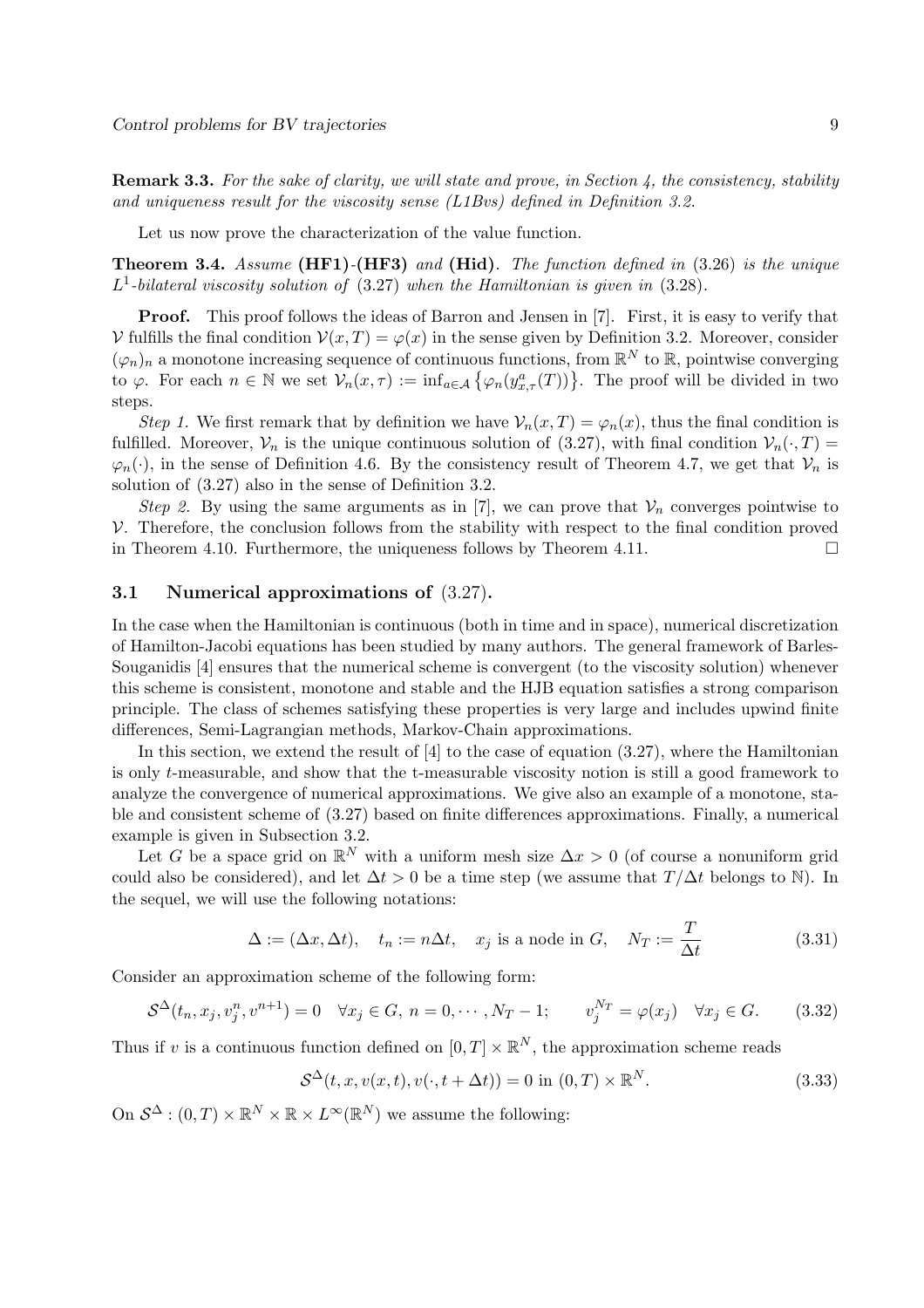Remark 3.3. *For the sake of clarity, we will state and prove, in Section 4, the consistency, stability and uniqueness result for the viscosity sense (L1Bvs) defined in Definition 3.2.*

Let us now prove the characterization of the value function.

Theorem 3.4. *Assume* (HF1)*-*(HF3) *and* (Hid)*. The function defined in* (3.26) *is the unique* L 1 *-bilateral viscosity solution of* (3.27) *when the Hamiltonian is given in* (3.28)*.*

**Proof.** This proof follows the ideas of Barron and Jensen in [7]. First, it is easy to verify that  $V$  fulfills the final condition  $V(x,T) = \varphi(x)$  in the sense given by Definition 3.2. Moreover, consider  $(\varphi_n)_n$  a monotone increasing sequence of continuous functions, from  $\mathbb{R}^N$  to  $\mathbb{R}$ , pointwise converging to  $\varphi$ . For each  $n \in \mathbb{N}$  we set  $\mathcal{V}_n(x,\tau) := \inf_{a \in \mathcal{A}} \{ \varphi_n(y_{x,\tau}^a(T)) \}.$  The proof will be divided in two steps.

*Step 1.* We first remark that by definition we have  $V_n(x,T) = \varphi_n(x)$ , thus the final condition is fulfilled. Moreover,  $V_n$  is the unique continuous solution of (3.27), with final condition  $V_n(\cdot, T)$  $\varphi_n(\cdot)$ , in the sense of Definition 4.6. By the consistency result of Theorem 4.7, we get that  $\mathcal{V}_n$  is solution of (3.27) also in the sense of Definition 3.2.

*Step 2.* By using the same arguments as in [7], we can prove that  $V_n$  converges pointwise to  $V$ . Therefore, the conclusion follows from the stability with respect to the final condition proved in Theorem 4.10. Furthermore, the uniqueness follows by Theorem 4.11. in Theorem 4.10. Furthermore, the uniqueness follows by Theorem 4.11.

### 3.1 Numerical approximations of (3.27).

In the case when the Hamiltonian is continuous (both in time and in space), numerical discretization of Hamilton-Jacobi equations has been studied by many authors. The general framework of Barles-Souganidis [4] ensures that the numerical scheme is convergent (to the viscosity solution) whenever this scheme is consistent, monotone and stable and the HJB equation satisfies a strong comparison principle. The class of schemes satisfying these properties is very large and includes upwind finite differences, Semi-Lagrangian methods, Markov-Chain approximations.

In this section, we extend the result of [4] to the case of equation (3.27), where the Hamiltonian is only t-measurable, and show that the t-measurable viscosity notion is still a good framework to analyze the convergence of numerical approximations. We give also an example of a monotone, stable and consistent scheme of (3.27) based on finite differences approximations. Finally, a numerical example is given in Subsection 3.2.

Let G be a space grid on  $\mathbb{R}^N$  with a uniform mesh size  $\Delta x > 0$  (of course a nonuniform grid could also be considered), and let  $\Delta t > 0$  be a time step (we assume that  $T/\Delta t$  belongs to N). In the sequel, we will use the following notations:

$$
\Delta := (\Delta x, \Delta t), \quad t_n := n\Delta t, \quad x_j \text{ is a node in } G, \quad N_T := \frac{T}{\Delta t}
$$
\n(3.31)

Consider an approximation scheme of the following form:

$$
S^{\Delta}(t_n, x_j, v_j^n, v^{n+1}) = 0 \quad \forall x_j \in G, \ n = 0, \cdots, N_T - 1; \qquad v_j^{N_T} = \varphi(x_j) \quad \forall x_j \in G. \tag{3.32}
$$

Thus if v is a continuous function defined on  $[0, T] \times \mathbb{R}^N$ , the approximation scheme reads

$$
S^{\Delta}(t, x, v(x, t), v(\cdot, t + \Delta t)) = 0 \text{ in } (0, T) \times \mathbb{R}^{N}.
$$
\n(3.33)

On  $S^{\Delta}$  :  $(0, T) \times \mathbb{R}^N \times \mathbb{R} \times L^{\infty}(\mathbb{R}^N)$  we assume the following: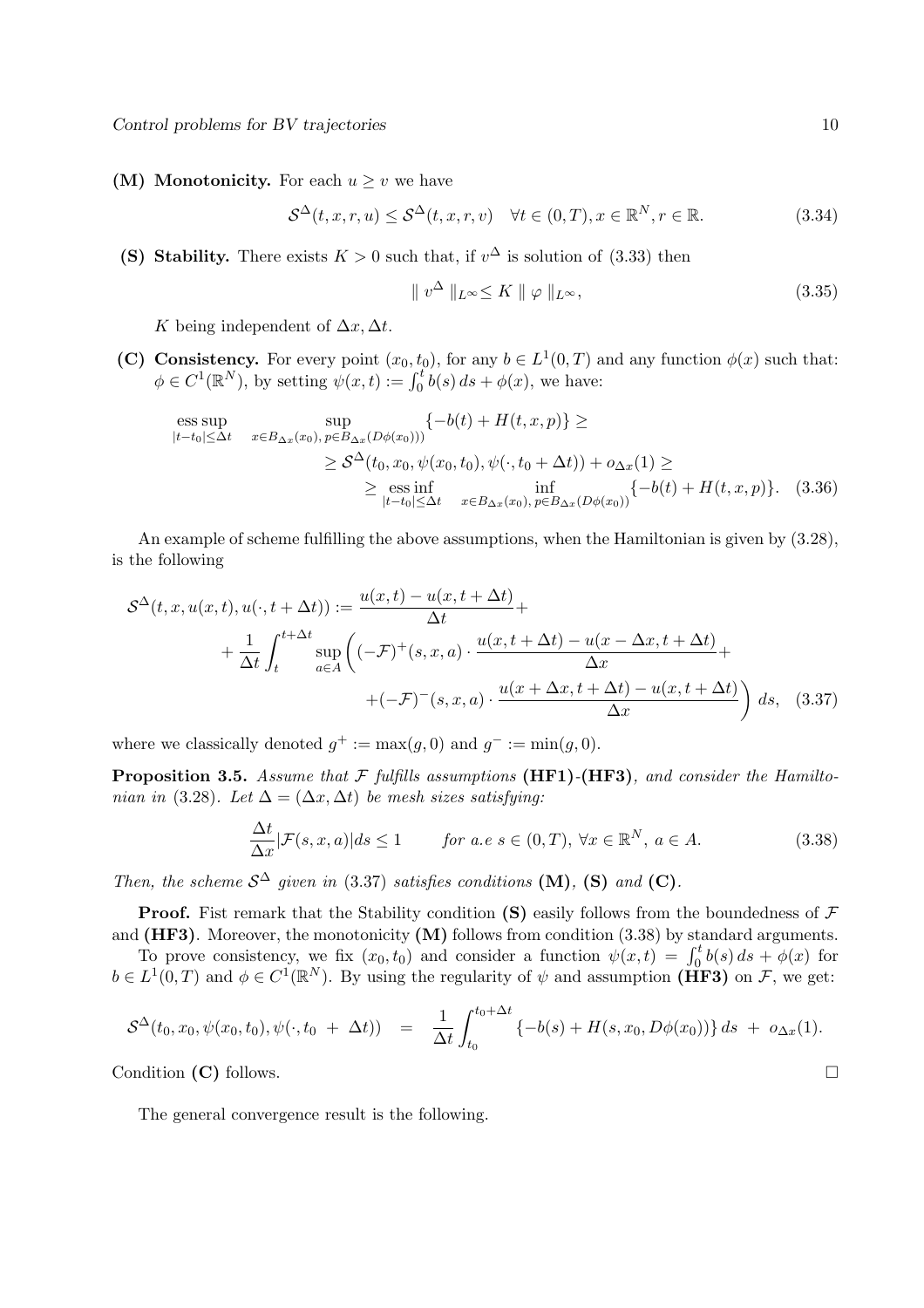(M) Monotonicity. For each  $u \geq v$  we have

$$
S^{\Delta}(t, x, r, u) \le S^{\Delta}(t, x, r, v) \quad \forall t \in (0, T), x \in \mathbb{R}^{N}, r \in \mathbb{R}.
$$
 (3.34)

(S) Stability. There exists  $K > 0$  such that, if  $v^{\Delta}$  is solution of (3.33) then

$$
\|v^{\Delta}\|_{L^{\infty}} \le K \|\varphi\|_{L^{\infty}},\tag{3.35}
$$

K being independent of  $\Delta x, \Delta t$ .

(C) Consistency. For every point  $(x_0, t_0)$ , for any  $b \in L^1(0, T)$  and any function  $\phi(x)$  such that:  $\phi \in C^1(\mathbb{R}^N)$ , by setting  $\psi(x,t) := \int_0^t b(s) \, ds + \phi(x)$ , we have:

$$
\begin{aligned}\n\text{ess}\sup_{|t-t_0| \le \Delta t} & \sup_{x \in B_{\Delta x}(x_0), \, p \in B_{\Delta x}(D\phi(x_0)))} \{ -b(t) + H(t, x, p) \} \ge \\
& \ge \mathcal{S}^{\Delta}(t_0, x_0, \psi(x_0, t_0), \psi(\cdot, t_0 + \Delta t)) + o_{\Delta x}(1) \ge \\
& \ge \mathcal{S}^{\Delta}(t_0, x_0, \psi(x_0, t_0), \psi(\cdot, t_0 + \Delta t)) + o_{\Delta x}(1) + H(t, x, p) \}. \quad (3.36) \\
& \ge \mathcal{S}^{\Delta}(t_0, x_0, \psi(x_0, t_0), \psi(\cdot, t_0 + \Delta t)) + O_{\Delta x}(1) + O_{\Delta x}(1)\n\end{aligned}
$$

An example of scheme fulfilling the above assumptions, when the Hamiltonian is given by (3.28), is the following

$$
\mathcal{S}^{\Delta}(t, x, u(x, t), u(\cdot, t + \Delta t)) := \frac{u(x, t) - u(x, t + \Delta t)}{\Delta t} + \frac{1}{\Delta t} \int_{t}^{t + \Delta t} \sup_{a \in A} \left( (-\mathcal{F})^{+}(s, x, a) \cdot \frac{u(x, t + \Delta t) - u(x - \Delta x, t + \Delta t)}{\Delta x} + (-\mathcal{F})^{-}(s, x, a) \cdot \frac{u(x + \Delta x, t + \Delta t) - u(x, t + \Delta t)}{\Delta x} \right) ds, \quad (3.37)
$$

where we classically denoted  $g^+ := \max(g, 0)$  and  $g^- := \min(g, 0)$ .

Proposition 3.5. *Assume that* F *fulfills assumptions* (HF1)*-*(HF3)*, and consider the Hamiltonian in* (3.28)*.* Let  $\Delta = (\Delta x, \Delta t)$  *be mesh sizes satisfying:* 

$$
\frac{\Delta t}{\Delta x} |\mathcal{F}(s, x, a)| ds \le 1 \qquad \text{for a.e } s \in (0, T), \forall x \in \mathbb{R}^N, a \in A.
$$
 (3.38)

*Then, the scheme*  $S^{\Delta}$  *given in* (3.37) *satisfies conditions* (**M**)*,* (**S**) *and* (**C**)*.* 

**Proof.** Fist remark that the Stability condition (S) easily follows from the boundedness of  $\mathcal F$ and  $(HF3)$ . Moreover, the monotonicity  $(M)$  follows from condition  $(3.38)$  by standard arguments.

To prove consistency, we fix  $(x_0, t_0)$  and consider a function  $\psi(x, t) = \int_0^t b(s) ds + \phi(x)$  for be  $L^1(0,T)$  and  $\phi \in C^1(\mathbb{R}^N)$ . By using the regularity of  $\psi$  and assumption (HF3) on F, we get:

$$
S^{\Delta}(t_0, x_0, \psi(x_0, t_0), \psi(\cdot, t_0 + \Delta t)) = \frac{1}{\Delta t} \int_{t_0}^{t_0 + \Delta t} \{-b(s) + H(s, x_0, D\phi(x_0))\} ds + o_{\Delta x}(1).
$$

Condition (C) follows.

The general convergence result is the following.

$$
\Box
$$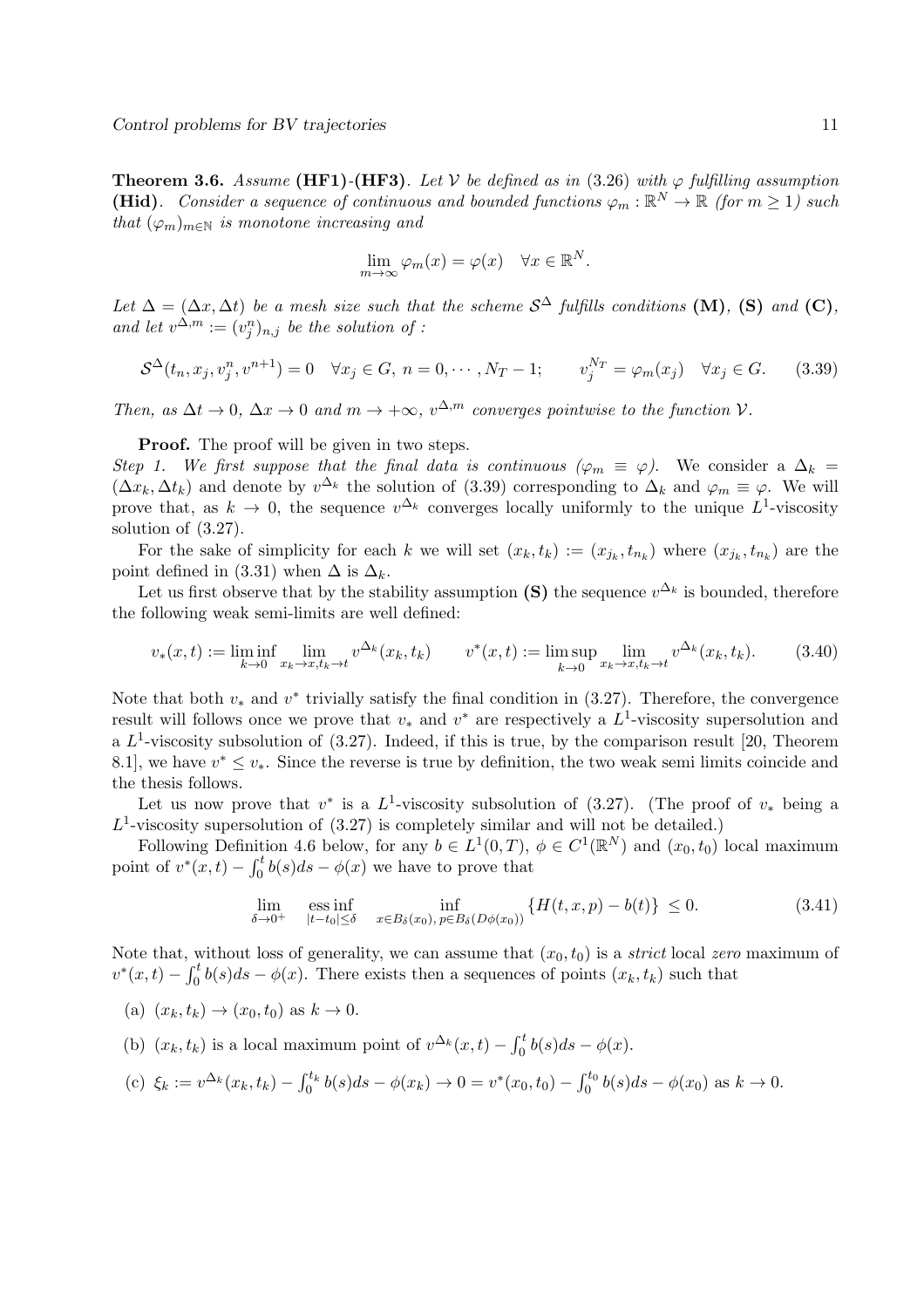**Theorem 3.6.** Assume (HF1)<sup>-</sup>(HF3). Let V be defined as in (3.26) with  $\varphi$  fulfilling assumption (Hid). Consider a sequence of continuous and bounded functions  $\varphi_m : \mathbb{R}^N \to \mathbb{R}$  (for  $m \geq 1$ ) such *that*  $(\varphi_m)_{m \in \mathbb{N}}$  *is monotone increasing and* 

$$
\lim_{m \to \infty} \varphi_m(x) = \varphi(x) \quad \forall x \in \mathbb{R}^N.
$$

Let  $\Delta = (\Delta x, \Delta t)$  be a mesh size such that the scheme  $S^{\Delta}$  fulfills conditions (M), (S) and (C), and let  $v^{\Delta,m} := (v_j^n)_{n,j}$  be the solution of :

$$
S^{\Delta}(t_n, x_j, v_j^n, v^{n+1}) = 0 \quad \forall x_j \in G, \ n = 0, \cdots, N_T - 1; \qquad v_j^{N_T} = \varphi_m(x_j) \quad \forall x_j \in G. \tag{3.39}
$$

*Then, as*  $\Delta t \rightarrow 0$ *,*  $\Delta x \rightarrow 0$  *and*  $m \rightarrow +\infty$ *,*  $v^{\Delta,m}$  *converges pointwise to the function*  $V$ *.* 

**Proof.** The proof will be given in two steps.

*Step 1. We first suppose that the final data is continuous (* $\varphi_m \equiv \varphi$ *).* We consider a  $\Delta_k =$  $(\Delta x_k, \Delta t_k)$  and denote by  $v^{\Delta_k}$  the solution of (3.39) corresponding to  $\Delta_k$  and  $\varphi_m \equiv \varphi$ . We will prove that, as  $k \to 0$ , the sequence  $v^{\Delta_k}$  converges locally uniformly to the unique  $L^1$ -viscosity solution of (3.27).

For the sake of simplicity for each k we will set  $(x_k, t_k) := (x_{j_k}, t_{n_k})$  where  $(x_{j_k}, t_{n_k})$  are the point defined in (3.31) when  $\Delta$  is  $\Delta_k$ .

Let us first observe that by the stability assumption (S) the sequence  $v^{\Delta_k}$  is bounded, therefore the following weak semi-limits are well defined:

$$
v_*(x,t) := \liminf_{k \to 0} \lim_{x_k \to x, t_k \to t} v^{\Delta_k}(x_k, t_k) \qquad v^*(x,t) := \limsup_{k \to 0} \lim_{x_k \to x, t_k \to t} v^{\Delta_k}(x_k, t_k). \tag{3.40}
$$

Note that both  $v_*$  and  $v^*$  trivially satisfy the final condition in (3.27). Therefore, the convergence result will follows once we prove that  $v_*$  and  $v^*$  are respectively a  $L^1$ -viscosity supersolution and a  $L^1$ -viscosity subsolution of  $(3.27)$ . Indeed, if this is true, by the comparison result [20, Theorem 8.1], we have  $v^* \leq v_*$ . Since the reverse is true by definition, the two weak semi limits coincide and the thesis follows.

Let us now prove that  $v^*$  is a  $L^1$ -viscosity subsolution of (3.27). (The proof of  $v_*$  being a  $L^1$ -viscosity supersolution of  $(3.27)$  is completely similar and will not be detailed.)

Following Definition 4.6 below, for any  $b \in L^1(0,T)$ ,  $\phi \in C^1(\mathbb{R}^N)$  and  $(x_0, t_0)$  local maximum point of  $v^*(x,t) - \int_0^t b(s)ds - \phi(x)$  we have to prove that

$$
\lim_{\delta \to 0^+} \quad \underset{|t-t_0| \le \delta}{\text{ess inf}} \quad \inf_{x \in B_{\delta}(x_0), \, p \in B_{\delta}(D\phi(x_0))} \left\{ H(t, x, p) - b(t) \right\} \le 0. \tag{3.41}
$$

Note that, without loss of generality, we can assume that  $(x_0, t_0)$  is a *strict* local *zero* maximum of  $v^*(x,t) - \int_0^t b(s)ds - \phi(x)$ . There exists then a sequences of points  $(x_k, t_k)$  such that

(a)  $(x_k, t_k) \rightarrow (x_0, t_0)$  as  $k \rightarrow 0$ .

(b)  $(x_k, t_k)$  is a local maximum point of  $v^{\Delta_k}(x, t) - \int_0^t b(s)ds - \phi(x)$ .

(c) 
$$
\xi_k := v^{\Delta_k}(x_k, t_k) - \int_0^{t_k} b(s)ds - \phi(x_k) \to 0 = v^*(x_0, t_0) - \int_0^{t_0} b(s)ds - \phi(x_0)
$$
 as  $k \to 0$ .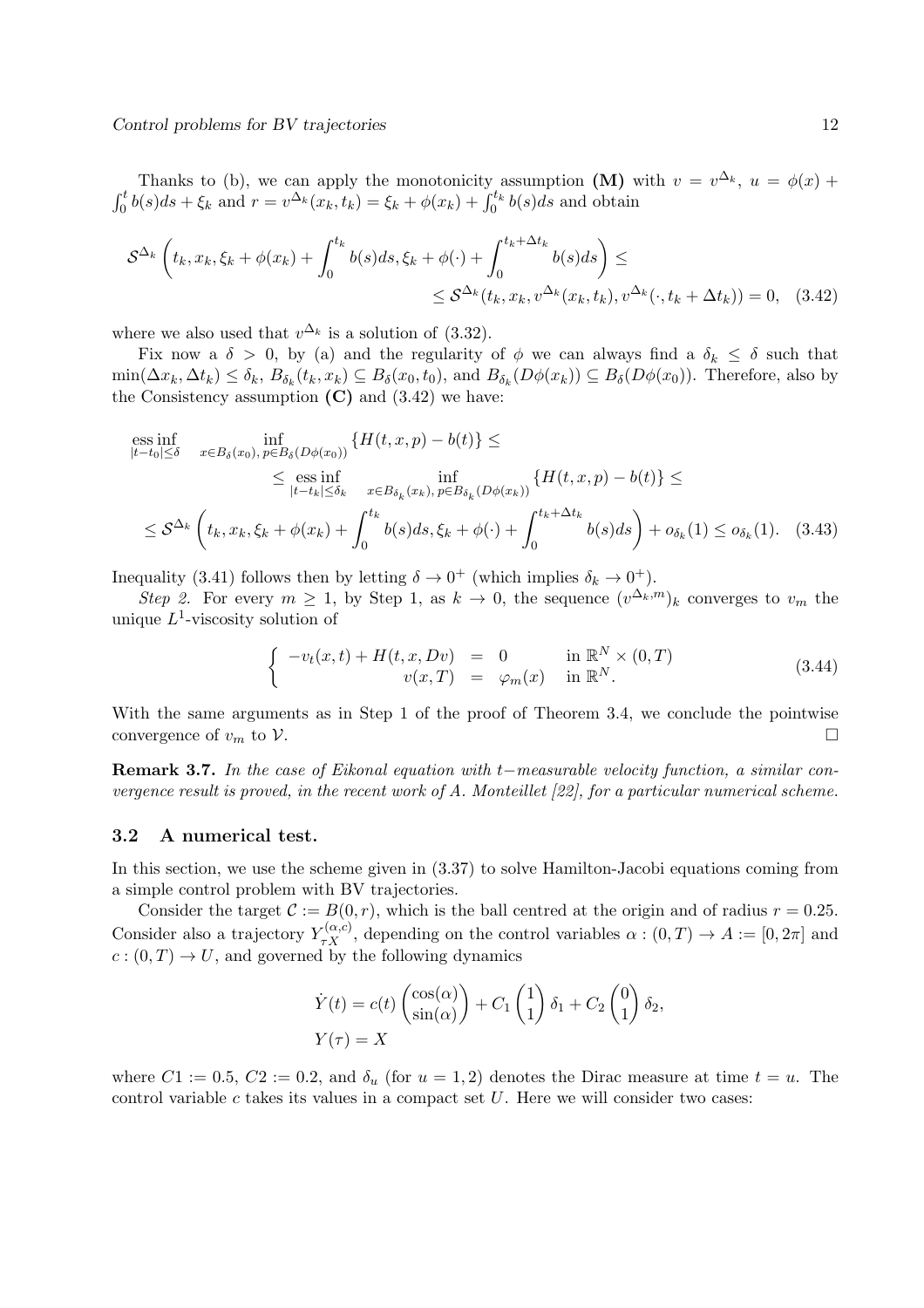Thanks to (b), we can apply the monotonicity assumption (M) with  $v = v^{\Delta_k}$ ,  $u = \phi(x) +$  $\int_0^t b(s)ds + \xi_k$  and  $r = v^{\Delta_k}(x_k, t_k) = \xi_k + \phi(x_k) + \int_0^{t_k} b(s)ds$  and obtain

$$
S^{\Delta_k}\left(t_k, x_k, \xi_k + \phi(x_k) + \int_0^{t_k} b(s)ds, \xi_k + \phi(\cdot) + \int_0^{t_k + \Delta t_k} b(s)ds\right) \le
$$
  
\$\leq S^{\Delta\_k}(t\_k, x\_k, v^{\Delta\_k}(x\_k, t\_k), v^{\Delta\_k}(\cdot, t\_k + \Delta t\_k)) = 0\$, (3.42)

where we also used that  $v^{\Delta_k}$  is a solution of (3.32).

Fix now a  $\delta > 0$ , by (a) and the regularity of  $\phi$  we can always find a  $\delta_k \leq \delta$  such that  $\min(\Delta x_k, \Delta t_k) \le \delta_k$ ,  $B_{\delta_k}(t_k, x_k) \subseteq B_{\delta}(x_0, t_0)$ , and  $B_{\delta_k}(D\phi(x_k)) \subseteq B_{\delta}(D\phi(x_0))$ . Therefore, also by the Consistency assumption  $(C)$  and  $(3.42)$  we have:

ess inf  
\n
$$
\inf_{|t-t_0| \leq \delta} \inf_{x \in B_{\delta}(x_0), p \in B_{\delta}(D\phi(x_0))} \{H(t, x, p) - b(t)\} \leq
$$
\n
$$
\leq \underset{|t-t_k| \leq \delta_k}{\text{ess inf}} \inf_{x \in B_{\delta_k}(x_k), p \in B_{\delta_k}(D\phi(x_k))} \{H(t, x, p) - b(t)\} \leq
$$
\n
$$
\leq \mathcal{S}^{\Delta_k} \left( t_k, x_k, \xi_k + \phi(x_k) + \int_0^{t_k} b(s) ds, \xi_k + \phi(\cdot) + \int_0^{t_k + \Delta t_k} b(s) ds \right) + o_{\delta_k}(1) \leq o_{\delta_k}(1). \quad (3.43)
$$

Inequality (3.41) follows then by letting  $\delta \to 0^+$  (which implies  $\delta_k \to 0^+$ ).

*Step 2.* For every  $m \geq 1$ , by Step 1, as  $k \to 0$ , the sequence  $(v^{\Delta_k,m})_k$  converges to  $v_m$  the unique  $L^1$ -viscosity solution of

$$
\begin{cases}\n-v_t(x,t) + H(t,x,Dv) = 0 & \text{in } \mathbb{R}^N \times (0,T) \\
v(x,T) = \varphi_m(x) & \text{in } \mathbb{R}^N.\n\end{cases}
$$
\n(3.44)

With the same arguments as in Step 1 of the proof of Theorem 3.4, we conclude the pointwise convergence of  $v_m$  to  $\mathcal V$ .

Remark 3.7. *In the case of Eikonal equation with* t−*measurable velocity function, a similar convergence result is proved, in the recent work of A. Monteillet [22], for a particular numerical scheme.*

#### 3.2 A numerical test.

In this section, we use the scheme given in (3.37) to solve Hamilton-Jacobi equations coming from a simple control problem with BV trajectories.

Consider the target  $\mathcal{C} := B(0,r)$ , which is the ball centred at the origin and of radius  $r = 0.25$ . Consider also a trajectory  $Y_{\tau X}^{(\alpha,c)}$ , depending on the control variables  $\alpha:(0,T) \to A := [0,2\pi]$  and  $c:(0,T) \to U$ , and governed by the following dynamics

$$
\dot{Y}(t) = c(t) \begin{pmatrix} \cos(\alpha) \\ \sin(\alpha) \end{pmatrix} + C_1 \begin{pmatrix} 1 \\ 1 \end{pmatrix} \delta_1 + C_2 \begin{pmatrix} 0 \\ 1 \end{pmatrix} \delta_2,
$$

$$
Y(\tau) = X
$$

where  $C_1 := 0.5, C_2 := 0.2$ , and  $\delta_u$  (for  $u = 1, 2$ ) denotes the Dirac measure at time  $t = u$ . The control variable  $c$  takes its values in a compact set  $U$ . Here we will consider two cases: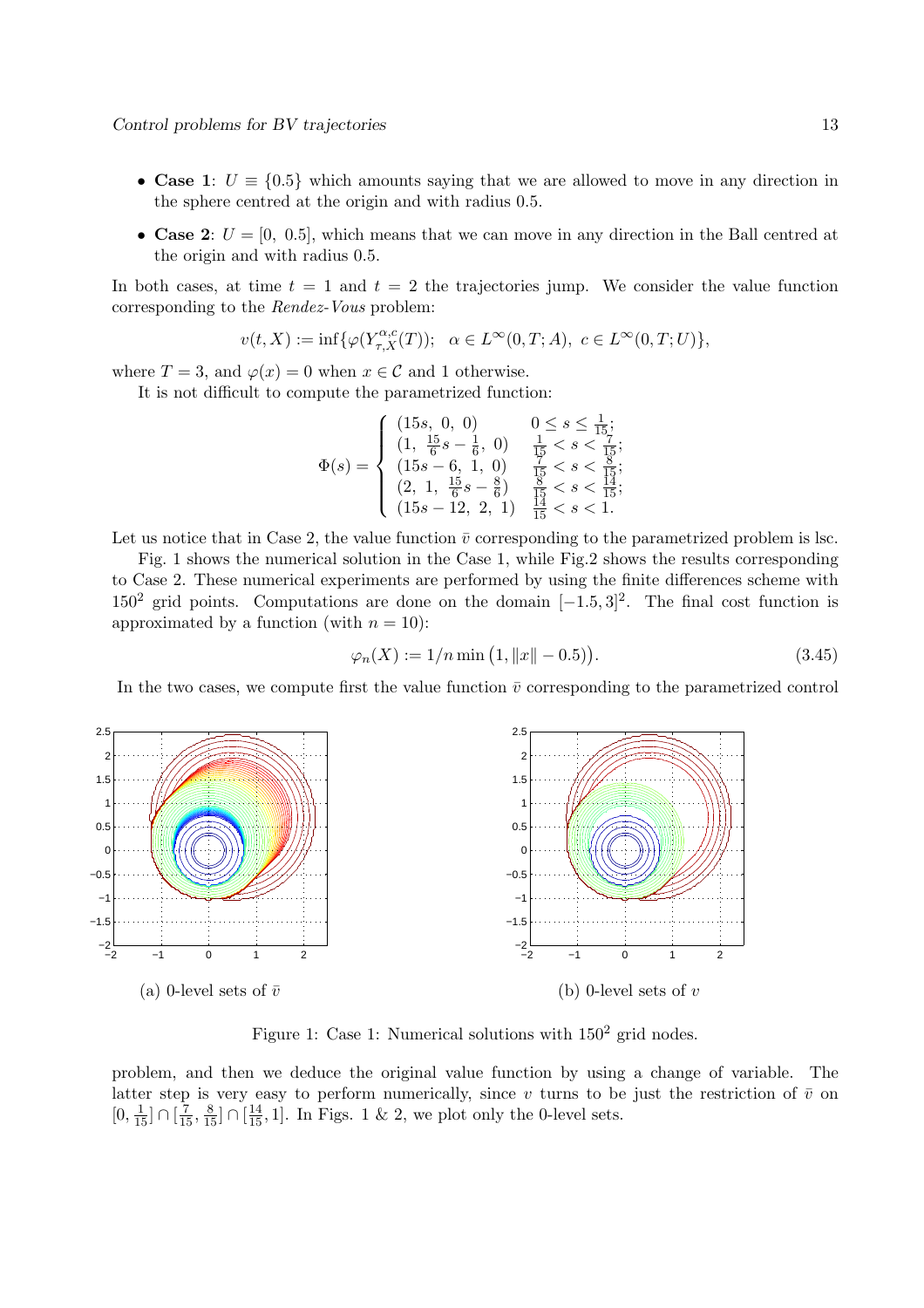- Case 1:  $U = \{0.5\}$  which amounts saying that we are allowed to move in any direction in the sphere centred at the origin and with radius 0.5.
- Case 2:  $U = [0, 0.5]$ , which means that we can move in any direction in the Ball centred at the origin and with radius 0.5.

In both cases, at time  $t = 1$  and  $t = 2$  the trajectories jump. We consider the value function corresponding to the *Rendez-Vous* problem:

$$
v(t,X):=\inf\{\varphi(Y^{\alpha,c}_{\tau,X}(T));\quad \alpha\in L^\infty(0,T;A),\,\,c\in L^\infty(0,T;U)\},
$$

where  $T = 3$ , and  $\varphi(x) = 0$  when  $x \in \mathcal{C}$  and 1 otherwise.

It is not difficult to compute the parametrized function:

$$
\Phi(s) = \begin{cases}\n(15s, 0, 0) & 0 \le s \le \frac{1}{15}; \\
(1, \frac{15}{6}s - \frac{1}{6}, 0) & \frac{1}{15} < s < \frac{7}{15}; \\
(15s - 6, 1, 0) & \frac{7}{15} < s < \frac{8}{15}; \\
(2, 1, \frac{15}{6}s - \frac{8}{6}) & \frac{8}{15} < s < \frac{13}{15}; \\
(15s - 12, 2, 1) & \frac{14}{15} < s < 1.\n\end{cases}
$$

Let us notice that in Case 2, the value function  $\bar{v}$  corresponding to the parametrized problem is lsc.

Fig. 1 shows the numerical solution in the Case 1, while Fig.2 shows the results corresponding to Case 2. These numerical experiments are performed by using the finite differences scheme with  $150<sup>2</sup>$  grid points. Computations are done on the domain  $[-1.5, 3]<sup>2</sup>$ . The final cost function is approximated by a function (with  $n = 10$ ):

$$
\varphi_n(X) := 1/n \min\left(1, \|x\| - 0.5\right). \tag{3.45}
$$

In the two cases, we compute first the value function  $\bar{v}$  corresponding to the parametrized control



Figure 1: Case 1: Numerical solutions with  $150^2$  grid nodes.

problem, and then we deduce the original value function by using a change of variable. The latter step is very easy to perform numerically, since v turns to be just the restriction of  $\bar{v}$  on  $[0, \frac{1}{15}] \cap [\frac{7}{15}, \frac{8}{15}] \cap [\frac{14}{15}, 1]$ . In Figs. 1 & 2, we plot only the 0-level sets.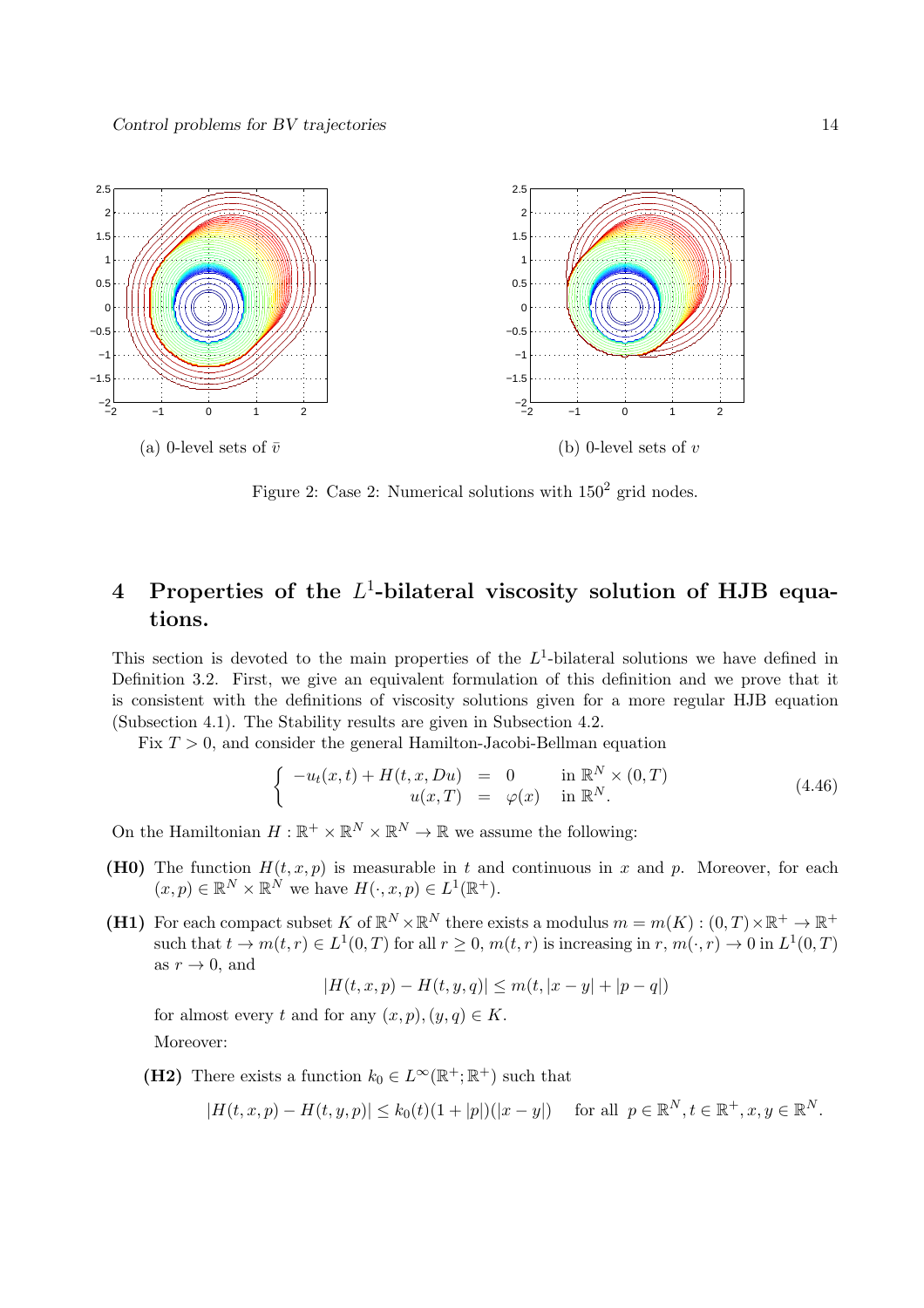

Figure 2: Case 2: Numerical solutions with  $150^2$  grid nodes.

## 4 Properties of the  $L^1$ -bilateral viscosity solution of HJB equations.

This section is devoted to the main properties of the  $L^1$ -bilateral solutions we have defined in Definition 3.2. First, we give an equivalent formulation of this definition and we prove that it is consistent with the definitions of viscosity solutions given for a more regular HJB equation (Subsection 4.1). The Stability results are given in Subsection 4.2.

Fix  $T > 0$ , and consider the general Hamilton-Jacobi-Bellman equation

$$
\begin{cases}\n-u_t(x,t) + H(t,x,Du) = 0 & \text{in } \mathbb{R}^N \times (0,T) \\
u(x,T) = \varphi(x) & \text{in } \mathbb{R}^N.\n\end{cases}
$$
\n(4.46)

On the Hamiltonian  $H : \mathbb{R}^+ \times \mathbb{R}^N \times \mathbb{R}^N \to \mathbb{R}$  we assume the following:

- (H0) The function  $H(t, x, p)$  is measurable in t and continuous in x and p. Moreover, for each  $(x, p) \in \mathbb{R}^N \times \mathbb{R}^N$  we have  $H(\cdot, x, p) \in L^1(\mathbb{R}^+).$
- (H1) For each compact subset K of  $\mathbb{R}^N \times \mathbb{R}^N$  there exists a modulus  $m = m(K) : (0, T) \times \mathbb{R}^+ \to \mathbb{R}^+$ such that  $t \to m(t, r) \in L^1(0, T)$  for all  $r \ge 0$ ,  $m(t, r)$  is increasing in  $r, m(\cdot, r) \to 0$  in  $L^1(0, T)$ as  $r \to 0$ , and

$$
|H(t, x, p) - H(t, y, q)| \le m(t, |x - y| + |p - q|)
$$

for almost every t and for any  $(x, p), (y, q) \in K$ . Moreover:

(H2) There exists a function  $k_0 \in L^{\infty}(\mathbb{R}^+;\mathbb{R}^+)$  such that

$$
|H(t, x, p) - H(t, y, p)| \le k_0(t)(1 + |p|)(|x - y|) \quad \text{for all } p \in \mathbb{R}^N, t \in \mathbb{R}^+, x, y \in \mathbb{R}^N.
$$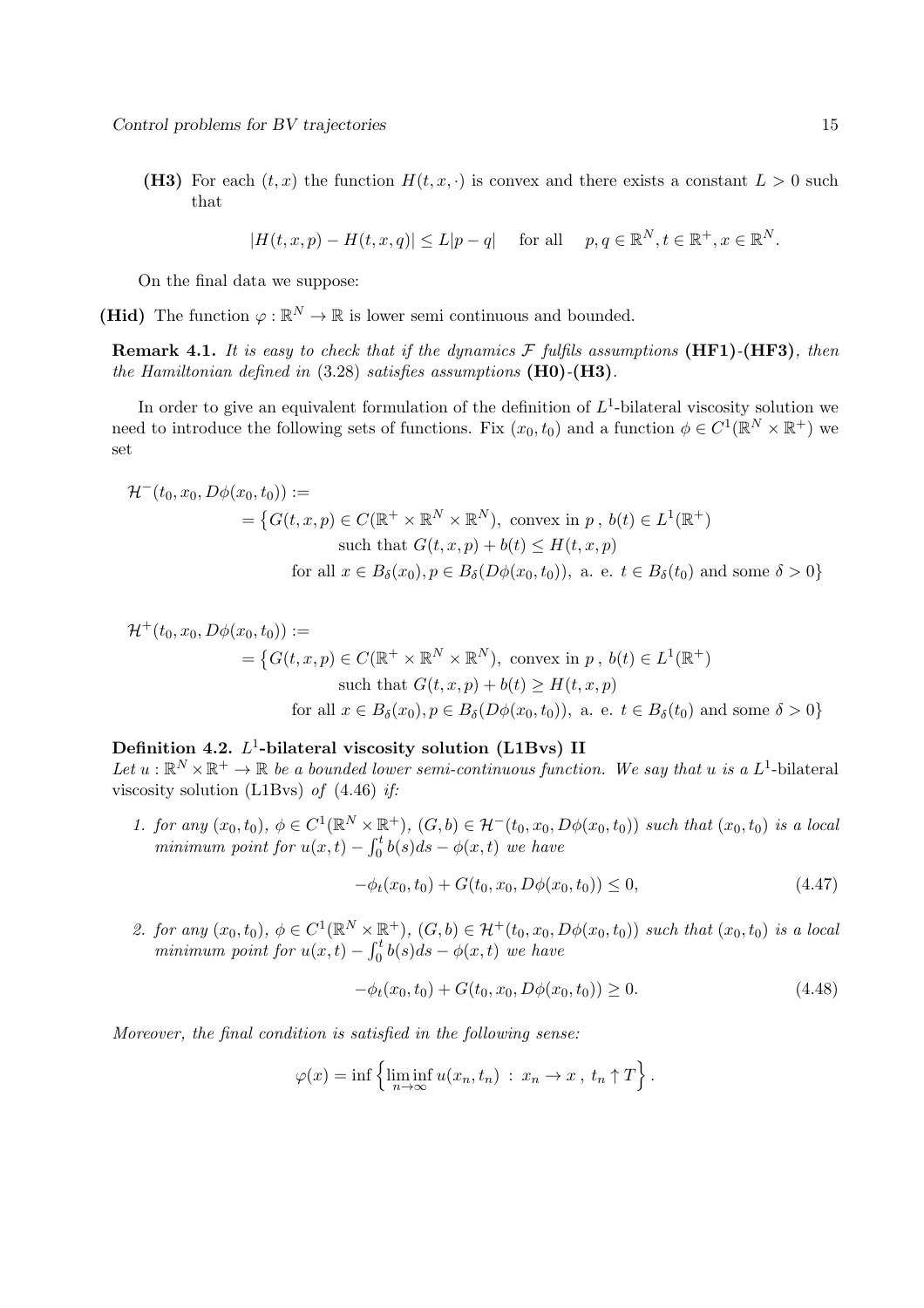(H3) For each  $(t, x)$  the function  $H(t, x, \cdot)$  is convex and there exists a constant  $L > 0$  such that

$$
|H(t, x, p) - H(t, x, q)| \le L|p - q| \quad \text{ for all } \quad p, q \in \mathbb{R}^N, t \in \mathbb{R}^+, x \in \mathbb{R}^N.
$$

On the final data we suppose:

(Hid) The function  $\varphi : \mathbb{R}^N \to \mathbb{R}$  is lower semi continuous and bounded.

Remark 4.1. *It is easy to check that if the dynamics* F *fulfils assumptions* (HF1)*-*(HF3)*, then the Hamiltonian defined in* (3.28) *satisfies assumptions* (H0)*-*(H3)*.*

In order to give an equivalent formulation of the definition of  $L^1$ -bilateral viscosity solution we need to introduce the following sets of functions. Fix  $(x_0, t_0)$  and a function  $\phi \in C^1(\mathbb{R}^N \times \mathbb{R}^+)$  we set

$$
\mathcal{H}^-(t_0, x_0, D\phi(x_0, t_0)) :=
$$
\n
$$
= \{ G(t, x, p) \in C(\mathbb{R}^+ \times \mathbb{R}^N \times \mathbb{R}^N), \text{ convex in } p, b(t) \in L^1(\mathbb{R}^+)
$$
\n
$$
\text{such that } G(t, x, p) + b(t) \le H(t, x, p)
$$
\n
$$
\text{for all } x \in B_\delta(x_0), p \in B_\delta(D\phi(x_0, t_0)), \text{ a. e. } t \in B_\delta(t_0) \text{ and some } \delta > 0 \}
$$

$$
\mathcal{H}^+(t_0, x_0, D\phi(x_0, t_0)) :=
$$
  
=  $\{G(t, x, p) \in C(\mathbb{R}^+ \times \mathbb{R}^N \times \mathbb{R}^N), \text{ convex in } p, b(t) \in L^1(\mathbb{R}^+)$   
such that  $G(t, x, p) + b(t) \ge H(t, x, p)$   
for all  $x \in B_\delta(x_0), p \in B_\delta(D\phi(x_0, t_0)), \text{ a. e. } t \in B_\delta(t_0) \text{ and some } \delta > 0\}$ 

## Definition 4.2.  $L^1$ -bilateral viscosity solution (L1Bvs) II

Let  $u : \mathbb{R}^N \times \mathbb{R}^+ \to \mathbb{R}$  *be a bounded lower semi-continuous function. We say that* u *is a*  $L^1$ -bilateral viscosity solution (L1Bvs) *of* (4.46) *if:*

*1. for any*  $(x_0, t_0)$ ,  $\phi \in C^1(\mathbb{R}^N \times \mathbb{R}^+)$ ,  $(G, b) \in \mathcal{H}^-(t_0, x_0, D\phi(x_0, t_0))$  *such that*  $(x_0, t_0)$  *is a local minimum point for*  $u(x,t) - \int_0^t b(s)ds - \phi(x,t)$  *we have* 

$$
-\phi_t(x_0, t_0) + G(t_0, x_0, D\phi(x_0, t_0)) \le 0,
$$
\n(4.47)

2. for any  $(x_0, t_0)$ ,  $\phi \in C^1(\mathbb{R}^N \times \mathbb{R}^+)$ ,  $(G, b) \in \mathcal{H}^+(t_0, x_0, D\phi(x_0, t_0))$  *such that*  $(x_0, t_0)$  *is a local minimum point for*  $u(x,t) - \int_0^t b(s)ds - \phi(x,t)$  *we have* 

$$
-\phi_t(x_0, t_0) + G(t_0, x_0, D\phi(x_0, t_0)) \ge 0.
$$
\n(4.48)

*Moreover, the final condition is satisfied in the following sense:*

$$
\varphi(x) = \inf \left\{ \liminf_{n \to \infty} u(x_n, t_n) : x_n \to x, t_n \uparrow T \right\}.
$$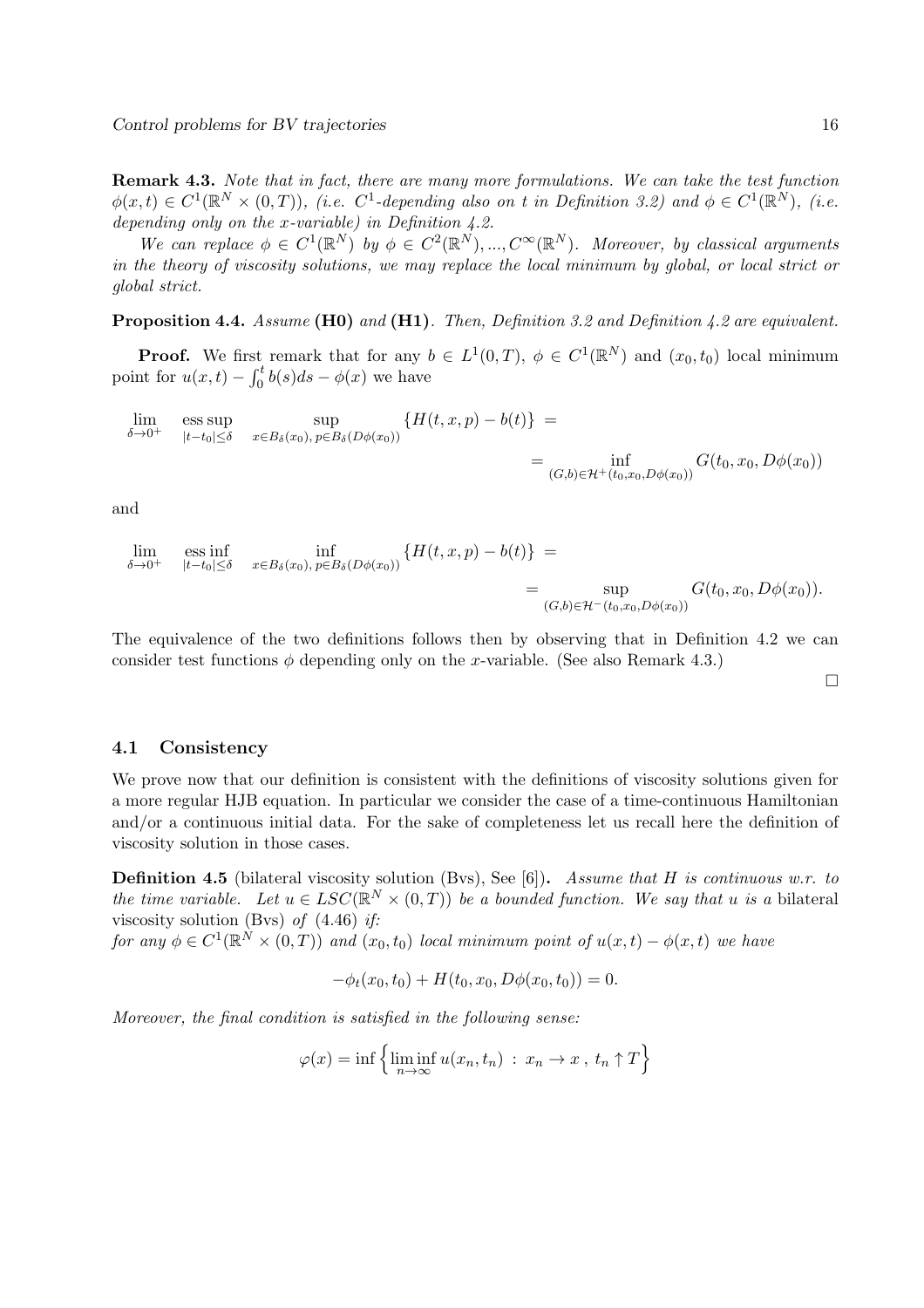Remark 4.3. *Note that in fact, there are many more formulations. We can take the test function*  $\phi(x,t) \in C^1(\mathbb{R}^N \times (0,T))$ , (i.e.  $C^1$ -depending also on t in Definition 3.2) and  $\phi \in C^1(\mathbb{R}^N)$ , (i.e. *depending only on the* x*-variable) in Definition 4.2.*

We can replace  $\phi \in C^1(\mathbb{R}^N)$  by  $\phi \in C^2(\mathbb{R}^N)$ , ...,  $C^{\infty}(\mathbb{R}^N)$ . Moreover, by classical arguments *in the theory of viscosity solutions, we may replace the local minimum by global, or local strict or global strict.*

Proposition 4.4. *Assume* (H0) *and* (H1)*. Then, Definition 3.2 and Definition 4.2 are equivalent.*

**Proof.** We first remark that for any  $b \in L^1(0,T)$ ,  $\phi \in C^1(\mathbb{R}^N)$  and  $(x_0, t_0)$  local minimum point for  $u(x,t) - \int_0^t b(s)ds - \phi(x)$  we have

$$
\lim_{\delta \to 0^+} \text{ess sup}_{|t-t_0| \le \delta} \sup_{x \in B_{\delta}(x_0), \, p \in B_{\delta}(D\phi(x_0))} \{ H(t, x, p) - b(t) \} = \inf_{(G, b) \in \mathcal{H}^+(t_0, x_0, D\phi(x_0))} G(t_0, x_0, D\phi(x_0))
$$

and

$$
\lim_{\delta \to 0^+} \text{ess inf}_{|t-t_0| \leq \delta} \inf_{x \in B_{\delta}(x_0), \, p \in B_{\delta}(D\phi(x_0))} \{H(t, x, p) - b(t)\} = \n\lim_{\substack{(G, b) \in \mathcal{H}^-(t_0, x_0, D\phi(x_0))}} G(t_0, x_0, D\phi(x_0)).
$$

The equivalence of the two definitions follows then by observing that in Definition 4.2 we can consider test functions  $\phi$  depending only on the x-variable. (See also Remark 4.3.)

 $\Box$ 

#### 4.1 Consistency

We prove now that our definition is consistent with the definitions of viscosity solutions given for a more regular HJB equation. In particular we consider the case of a time-continuous Hamiltonian and/or a continuous initial data. For the sake of completeness let us recall here the definition of viscosity solution in those cases.

Definition 4.5 (bilateral viscosity solution (Bvs), See [6]). *Assume that* H *is continuous w.r. to the time variable.* Let  $u \in LSC(\mathbb{R}^N \times (0,T))$  *be a bounded function. We say that* u *is a* bilateral viscosity solution (Bvs) *of* (4.46) *if:*

*for any*  $\phi \in C^1(\mathbb{R}^N \times (0,T))$  *and*  $(x_0, t_0)$  *local minimum point of*  $u(x,t) - \phi(x,t)$  *we have* 

$$
-\phi_t(x_0, t_0) + H(t_0, x_0, D\phi(x_0, t_0)) = 0.
$$

*Moreover, the final condition is satisfied in the following sense:*

$$
\varphi(x) = \inf \left\{ \liminf_{n \to \infty} u(x_n, t_n) : x_n \to x, t_n \uparrow T \right\}
$$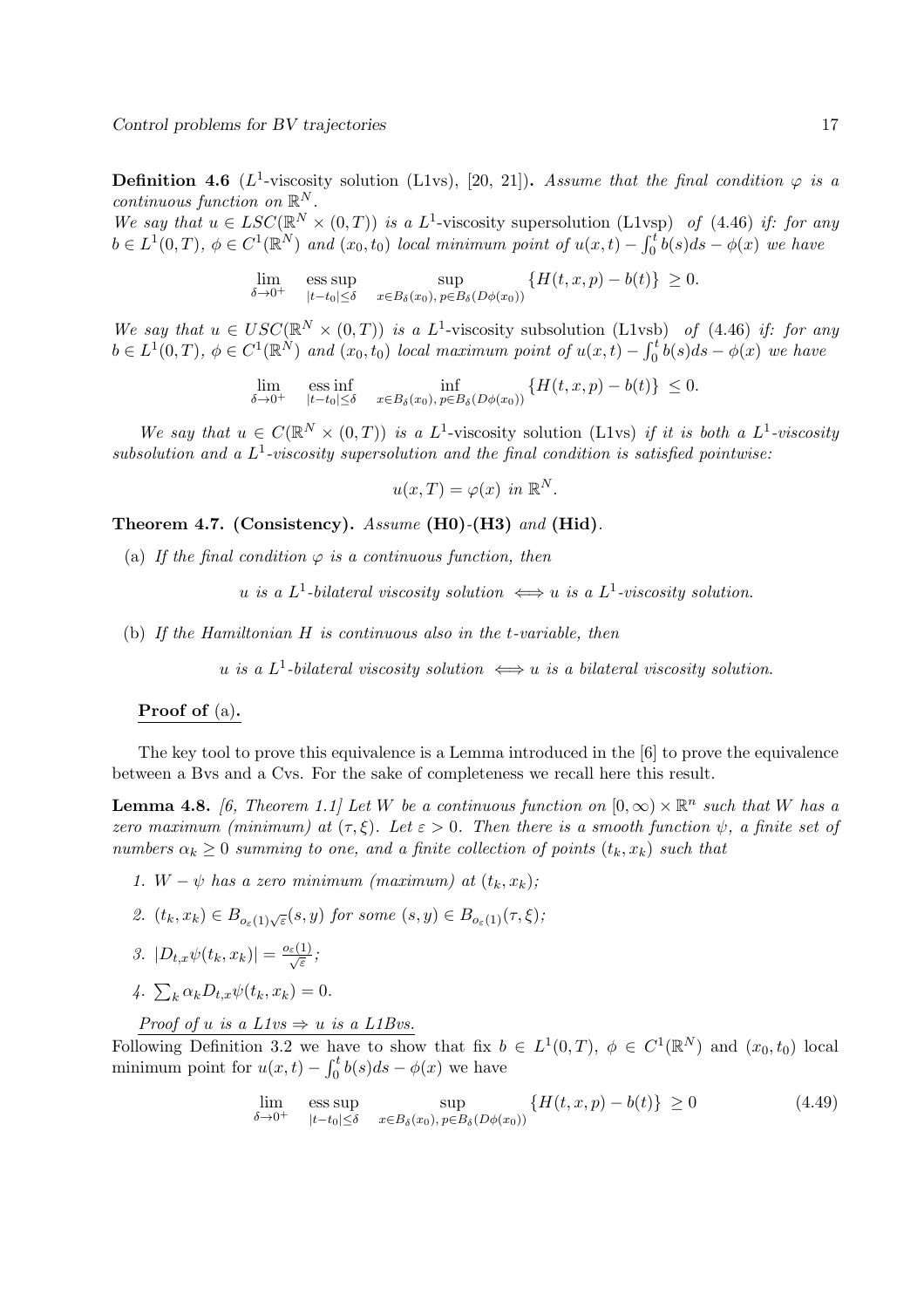**Definition 4.6** ( $L^1$ -viscosity solution (L1vs), [20, 21]). Assume that the final condition  $\varphi$  is a *continuous function on*  $\mathbb{R}^N$ *.* 

We say that  $u \in LSC(\mathbb{R}^N \times (0,T))$  is a L<sup>1</sup>-viscosity supersolution (L1vsp) of (4.46) *if: for any*  $b \in L^1(0,T)$ ,  $\phi \in C^1(\mathbb{R}^N)$  and  $(x_0,t_0)$  *local minimum point of*  $u(x,t) - \int_0^t b(s)ds - \phi(x)$  *we have* 

> lim  $\delta \rightarrow 0^+$ ess sup  $|t-t_0|\leq \delta$ sup  $x \in B_\delta(x_0), p \in B_\delta(D\phi(x_0))$  ${H(t, x, p) - b(t)} \geq 0.$

We say that  $u \in USC(\mathbb{R}^N \times (0,T))$  is a L<sup>1</sup>-viscosity subsolution (L1vsb) of (4.46) if: for any  $b \in L^1(0,T)$ ,  $\phi \in C^1(\mathbb{R}^N)$  and  $(x_0, t_0)$  *local maximum point of*  $u(x,t) - \int_0^t b(s)ds - \phi(x)$  *we have* 

$$
\lim_{\delta \to 0^+} \quad \underset{|t-t_0| \leq \delta}{\text{ess inf}} \quad \inf_{x \in B_{\delta}(x_0), \, p \in B_{\delta}(D\phi(x_0))} \left\{ H(t, x, p) - b(t) \right\} \leq 0.
$$

We say that  $u \in C(\mathbb{R}^N \times (0,T))$  is a L<sup>1</sup>-viscosity solution (L1vs) if it is both a L<sup>1</sup>-viscosity *subsolution and a* L 1 *-viscosity supersolution and the final condition is satisfied pointwise:*

$$
u(x,T) = \varphi(x) \ \text{in } \mathbb{R}^N.
$$

Theorem 4.7. (Consistency). *Assume* (H0)*-*(H3) *and* (Hid)*.*

(a) If the final condition  $\varphi$  is a continuous function, then

 $u$  *is a*  $L^1$ -bilateral viscosity solution  $\iff u$  *is a*  $L^1$ -viscosity solution.

(b) *If the Hamiltonian* H *is continuous also in the* t*-variable, then*

 $u$  *is a*  $L^1$ -bilateral viscosity solution  $\iff$  u *is a bilateral viscosity solution*.

### Proof of (a).

The key tool to prove this equivalence is a Lemma introduced in the [6] to prove the equivalence between a Bvs and a Cvs. For the sake of completeness we recall here this result.

**Lemma 4.8.** [6, Theorem 1.1] Let W be a continuous function on  $[0, \infty) \times \mathbb{R}^n$  such that W has a *zero maximum (minimum) at*  $(\tau, \xi)$ *. Let*  $\varepsilon > 0$ *. Then there is a smooth function*  $\psi$ *, a finite set of numbers*  $\alpha_k \geq 0$  *summing to one, and a finite collection of points*  $(t_k, x_k)$  *such that* 

- *1.*  $W \psi$  has a zero minimum (maximum) at  $(t_k, x_k)$ ;
- 2.  $(t_k, x_k) \in B_{o_{\varepsilon}(1)\sqrt{\varepsilon}}(s, y)$  for some  $(s, y) \in B_{o_{\varepsilon}(1)}(\tau, \xi)$ ;

3. 
$$
|D_{t,x}\psi(t_k,x_k)| = \frac{o_{\varepsilon}(1)}{\sqrt{\varepsilon}};
$$

 $4. \sum_{k} \alpha_k D_{t,x} \psi(t_k, x_k) = 0.$ 

*Proof of u is a L1vs*  $\Rightarrow$  *u is a L1Bvs.* 

Following Definition 3.2 we have to show that fix  $b \in L^1(0,T)$ ,  $\phi \in C^1(\mathbb{R}^N)$  and  $(x_0, t_0)$  local minimum point for  $u(x,t) - \int_0^t b(s)ds - \phi(x)$  we have

$$
\lim_{\delta \to 0^+} \quad \underset{|t-t_0| \le \delta}{\text{ess sup}} \quad \underset{x \in B_{\delta}(x_0), \, p \in B_{\delta}(D\phi(x_0))}{\text{sup}} \left\{ H(t, x, p) - b(t) \right\} \ge 0 \tag{4.49}
$$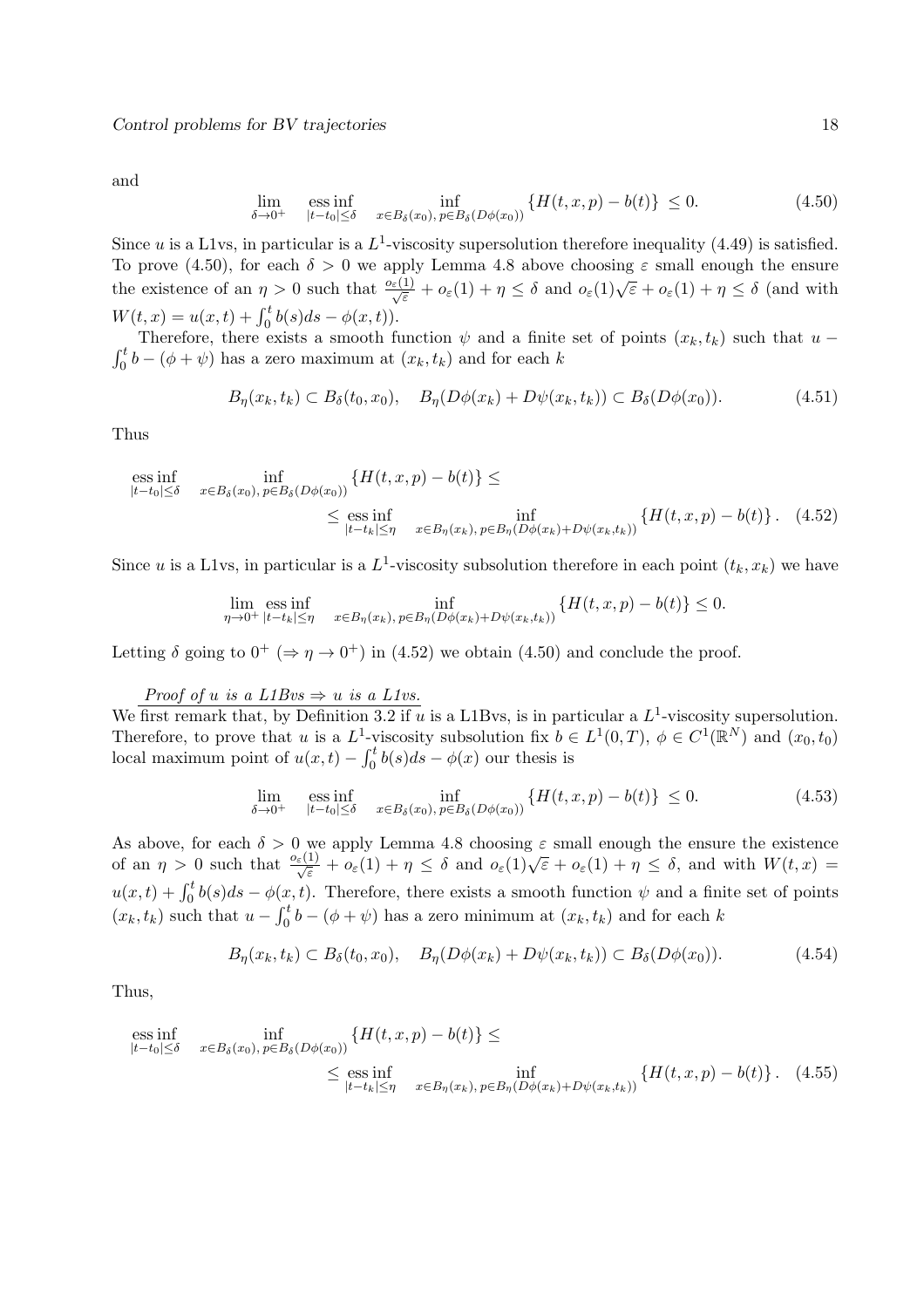and

$$
\lim_{\delta \to 0^+} \quad \underset{|t - t_0| \le \delta}{\text{ess inf}} \quad \inf_{x \in B_{\delta}(x_0), \, p \in B_{\delta}(D\phi(x_0))} \{ H(t, x, p) - b(t) \} \le 0. \tag{4.50}
$$

Since u is a L1vs, in particular is a  $L^1$ -viscosity supersolution therefore inequality (4.49) is satisfied. To prove (4.50), for each  $\delta > 0$  we apply Lemma 4.8 above choosing  $\varepsilon$  small enough the ensure the existence of an  $\eta > 0$  such that  $\frac{o_{\varepsilon}(1)}{\sqrt{\varepsilon}} + o_{\varepsilon}(1) + \eta \leq \delta$  and  $o_{\varepsilon}(1)\sqrt{\varepsilon} + o_{\varepsilon}(1) + \eta \leq \delta$  (and with  $W(t, x) = u(x, t) + \int_0^t b(s)ds - \phi(x, t).$ 

Therefore, there exists a smooth function  $\psi$  and a finite set of points  $(x_k, t_k)$  such that  $u - \int_0^t b - (\phi + \psi)$  has a zero maximum at  $(x_k, t_k)$  and for each k  $\int_0^b b - (\phi + \psi)$  has a zero maximum at  $(x_k, t_k)$  and for each k

$$
B_{\eta}(x_k, t_k) \subset B_{\delta}(t_0, x_0), \quad B_{\eta}(D\phi(x_k) + D\psi(x_k, t_k)) \subset B_{\delta}(D\phi(x_0)). \tag{4.51}
$$

Thus

ess inf 
$$
\inf_{|t-t_0| \le \delta}
$$
 inf  $\inf_{x \in B_{\delta}(x_0), p \in B_{\delta}(D\phi(x_0))} \{H(t, x, p) - b(t)\} \le \text{ess inf } \inf_{|t-t_k| \le \eta} \inf_{x \in B_{\eta}(x_k), p \in B_{\eta}(D\phi(x_k) + D\psi(x_k, t_k))} \{H(t, x, p) - b(t)\}.$  (4.52)

Since u is a L1vs, in particular is a  $L^1$ -viscosity subsolution therefore in each point  $(t_k, x_k)$  we have

$$
\lim_{\eta \to 0^+} \operatorname{ess\,inf}_{|t-t_k| \leq \eta} \quad \inf_{x \in B_{\eta}(x_k), \, p \in B_{\eta}(D\phi(x_k) + D\psi(x_k, t_k))} \{H(t, x, p) - b(t)\} \leq 0.
$$

Letting  $\delta$  going to  $0^+$  ( $\Rightarrow \eta \rightarrow 0^+$ ) in (4.52) we obtain (4.50) and conclude the proof.

## *Proof of u is a L1Bvs*  $\Rightarrow$  *u is a L1vs.*

We first remark that, by Definition 3.2 if u is a L1Bvs, is in particular a  $L^1$ -viscosity supersolution. Therefore, to prove that u is a  $L^1$ -viscosity subsolution fix  $b \in L^1(0,T)$ ,  $\phi \in C^1(\mathbb{R}^N)$  and  $(x_0, t_0)$ local maximum point of  $u(x,t) - \int_0^t b(s)ds - \phi(x)$  our thesis is

$$
\lim_{\delta \to 0^+} \quad \underset{|t-t_0| \le \delta}{\text{ess inf}} \quad \inf_{x \in B_{\delta}(x_0), \, p \in B_{\delta}(D\phi(x_0))} \left\{ H(t, x, p) - b(t) \right\} \le 0. \tag{4.53}
$$

As above, for each  $\delta > 0$  we apply Lemma 4.8 choosing  $\varepsilon$  small enough the ensure the existence of an  $\eta > 0$  such that  $\frac{\sigma_{\varepsilon}(1)}{\sqrt{\varepsilon}} + o_{\varepsilon}(1) + \eta \leq \delta$  and  $o_{\varepsilon}(1)\sqrt{\varepsilon} + o_{\varepsilon}(1) + \eta \leq \delta$ , and with  $W(t, x) =$  $u(x,t) + \int_0^t b(s)ds - \phi(x,t)$ . Therefore, there exists a smooth function  $\psi$  and a finite set of points  $(x_k, t_k)$  such that  $u - \int_0^t b - (\phi + \psi)$  has a zero minimum at  $(x_k, t_k)$  and for each k

$$
B_{\eta}(x_k, t_k) \subset B_{\delta}(t_0, x_0), \quad B_{\eta}(D\phi(x_k) + D\psi(x_k, t_k)) \subset B_{\delta}(D\phi(x_0)). \tag{4.54}
$$

Thus,

$$
\begin{aligned}\n\underset{|t-t_0| \leq \delta}{\text{ess inf}} \quad & \inf_{x \in B_{\delta}(x_0), \, p \in B_{\delta}(D\phi(x_0))} \{ H(t, x, p) - b(t) \} \leq \\
& \leq \underset{|t-t_k| \leq \eta}{\text{ess inf}} \quad & \inf_{x \in B_{\eta}(x_k), \, p \in B_{\eta}(D\phi(x_k) + D\psi(x_k, t_k))} \{ H(t, x, p) - b(t) \} \,. \tag{4.55}\n\end{aligned}
$$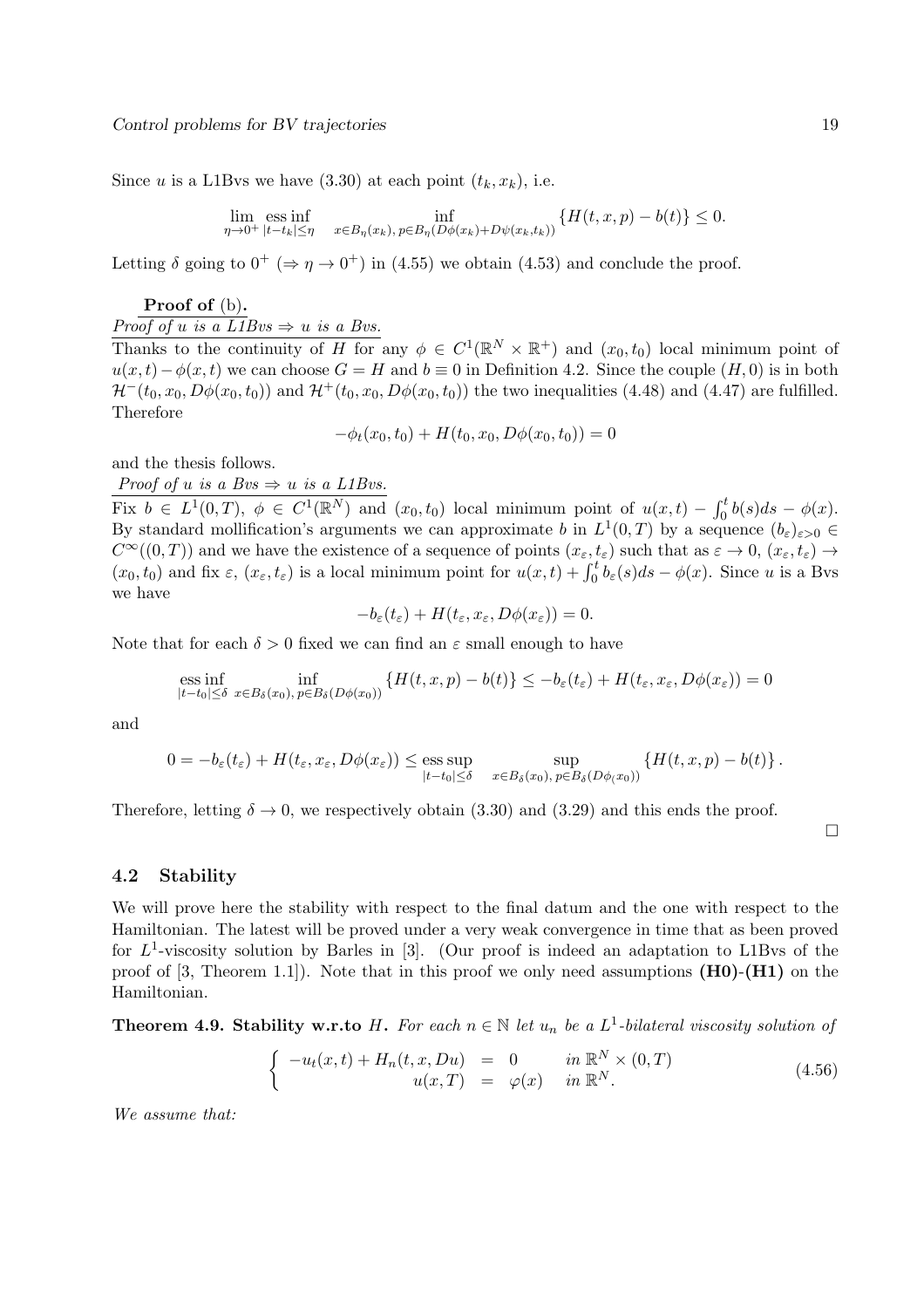Since u is a L1Bvs we have  $(3.30)$  at each point  $(t_k, x_k)$ , i.e.

$$
\lim_{\eta \to 0^+} \operatorname{ess\,inf}_{|t - t_k| \le \eta} \inf_{x \in B_{\eta}(x_k), \, p \in B_{\eta}(D\phi(x_k) + D\psi(x_k, t_k))} \{H(t, x, p) - b(t)\} \le 0.
$$

Letting  $\delta$  going to  $0^+$  ( $\Rightarrow \eta \rightarrow 0^+$ ) in (4.55) we obtain (4.53) and conclude the proof.

Proof of (b).

*Proof of u is a L1Bvs*  $\Rightarrow$  *u is a Bvs.* 

Thanks to the continuity of H for any  $\phi \in C^1(\mathbb{R}^N \times \mathbb{R}^+)$  and  $(x_0, t_0)$  local minimum point of  $u(x,t) - \phi(x,t)$  we can choose  $G = H$  and  $b \equiv 0$  in Definition 4.2. Since the couple  $(H, 0)$  is in both  $\mathcal{H}^-(t_0, x_0, D\phi(x_0, t_0))$  and  $\mathcal{H}^+(t_0, x_0, D\phi(x_0, t_0))$  the two inequalities (4.48) and (4.47) are fulfilled. Therefore

 $-\phi_t(x_0, t_0) + H(t_0, x_0, D\phi(x_0, t_0)) = 0$ 

and the thesis follows.

*Proof of u is a Bvs*  $\Rightarrow$  *u is a L1Bvs.* 

Fix  $b \in L^1(0,T)$ ,  $\phi \in C^1(\mathbb{R}^N)$  and  $(x_0,t_0)$  local minimum point of  $u(x,t) - \int_0^t b(s)ds - \phi(x)$ . By standard mollification's arguments we can approximate b in  $L^1(0,T)$  by a sequence  $(b_{\varepsilon})_{\varepsilon>0}$  $C^{\infty}((0,T))$  and we have the existence of a sequence of points  $(x_{\varepsilon}, t_{\varepsilon})$  such that as  $\varepsilon \to 0$ ,  $(x_{\varepsilon}, t_{\varepsilon}) \to$  $(x_0, t_0)$  and fix  $\varepsilon$ ,  $(x_{\varepsilon}, t_{\varepsilon})$  is a local minimum point for  $u(x,t) + \int_0^t b_{\varepsilon}(s)ds - \phi(x)$ . Since u is a Bvs we have

$$
-b_{\varepsilon}(t_{\varepsilon})+H(t_{\varepsilon},x_{\varepsilon},D\phi(x_{\varepsilon}))=0.
$$

Note that for each  $\delta > 0$  fixed we can find an  $\varepsilon$  small enough to have

ess inf<sub>$$
|t-t_0| \leq \delta
$$</sub>  $\inf_{x \in B_{\delta}(x_0), p \in B_{\delta}(D\phi(x_0))}$   $\{H(t, x, p) - b(t)\} \leq -b_{\varepsilon}(t_{\varepsilon}) + H(t_{\varepsilon}, x_{\varepsilon}, D\phi(x_{\varepsilon})) = 0$ 

and

$$
0 = -b_{\varepsilon}(t_{\varepsilon}) + H(t_{\varepsilon}, x_{\varepsilon}, D\phi(x_{\varepsilon})) \le \underset{|t-t_0| \le \delta}{\text{ess sup}} \quad \underset{x \in B_{\delta}(x_0), \, p \in B_{\delta}(D\phi(x_0))}{\text{sup}} \left\{H(t, x, p) - b(t)\right\}.
$$

Therefore, letting  $\delta \to 0$ , we respectively obtain (3.30) and (3.29) and this ends the proof.

4.2 Stability

We will prove here the stability with respect to the final datum and the one with respect to the Hamiltonian. The latest will be proved under a very weak convergence in time that as been proved for  $L^1$ -viscosity solution by Barles in [3]. (Our proof is indeed an adaptation to L1Bvs of the proof of [3, Theorem 1.1]). Note that in this proof we only need assumptions  $(H0)-(H1)$  on the Hamiltonian.

**Theorem 4.9. Stability w.r.to**  $H$ . For each  $n \in \mathbb{N}$  let  $u_n$  be a  $L^1$ -bilateral viscosity solution of

$$
\begin{cases}\n-u_t(x,t) + H_n(t,x,Du) = 0 & \text{in } \mathbb{R}^N \times (0,T) \\
u(x,T) = \varphi(x) & \text{in } \mathbb{R}^N.\n\end{cases}
$$
\n(4.56)

*We assume that:*

 $\Box$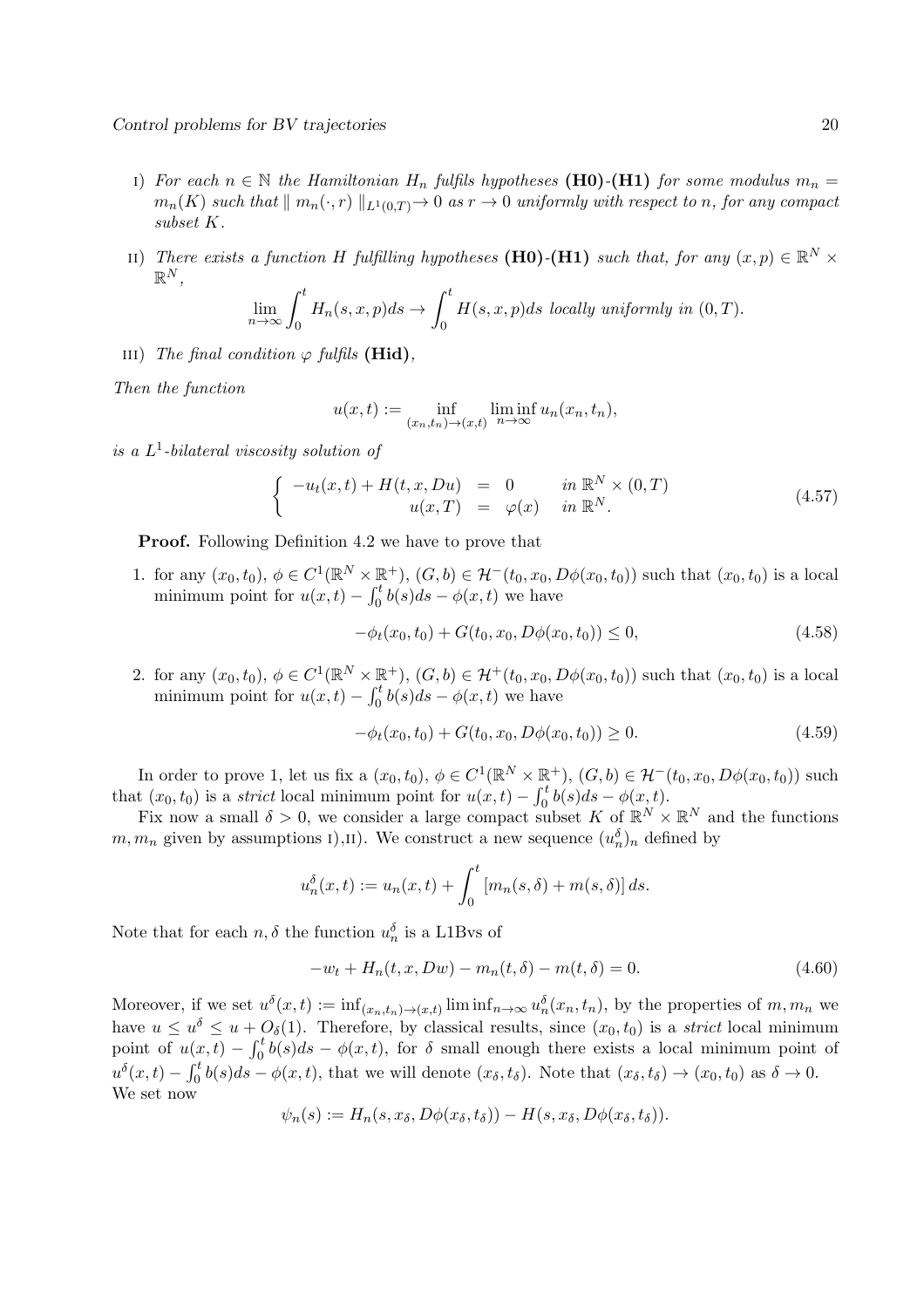- i) *For each*  $n \in \mathbb{N}$  *the Hamiltonian*  $H_n$  *fulfils hypotheses* (H0)-(H1) *for some modulus*  $m_n =$  $m_n(K)$  *such that*  $\| m_n(\cdot, r) \|_{L^1(0,T)} \to 0$  *as*  $r \to 0$  *uniformly with respect to n, for any compact subset* K*.*
- ii) *There exists a function* H *fulfilling hypotheses* (H0)<sup>-</sup>(H1) *such that, for any*  $(x, p) \in \mathbb{R}^N \times$  $\mathbb{R}^N,$

$$
\lim_{n \to \infty} \int_0^t H_n(s, x, p) ds \to \int_0^t H(s, x, p) ds
$$
 locally uniformly in  $(0, T)$ .

iii) *The final condition*  $\varphi$  *fulfils* (**Hid**),

*Then the function*

$$
u(x,t) := \inf_{(x_n,t_n)\to(x,t)} \liminf_{n\to\infty} u_n(x_n,t_n),
$$

*is a* L 1 *-bilateral viscosity solution of*

$$
\begin{cases}\n-u_t(x,t) + H(t,x,Du) = 0 & \text{in } \mathbb{R}^N \times (0,T) \\
u(x,T) = \varphi(x) & \text{in } \mathbb{R}^N.\n\end{cases}
$$
\n(4.57)

Proof. Following Definition 4.2 we have to prove that

1. for any  $(x_0, t_0), \phi \in C^1(\mathbb{R}^N \times \mathbb{R}^+), (G, b) \in \mathcal{H}^-(t_0, x_0, D\phi(x_0, t_0))$  such that  $(x_0, t_0)$  is a local minimum point for  $u(x,t) - \int_0^t b(s)ds - \phi(x,t)$  we have

$$
-\phi_t(x_0, t_0) + G(t_0, x_0, D\phi(x_0, t_0)) \le 0,
$$
\n(4.58)

2. for any  $(x_0, t_0), \, \phi \in C^1(\mathbb{R}^N \times \mathbb{R}^+), (G, b) \in \mathcal{H}^+(t_0, x_0, D\phi(x_0, t_0))$  such that  $(x_0, t_0)$  is a local minimum point for  $u(x,t) - \int_0^t b(s)ds - \phi(x,t)$  we have

$$
-\phi_t(x_0, t_0) + G(t_0, x_0, D\phi(x_0, t_0)) \ge 0.
$$
\n(4.59)

In order to prove 1, let us fix a  $(x_0, t_0)$ ,  $\phi \in C^1(\mathbb{R}^N \times \mathbb{R}^+)$ ,  $(G, b) \in \mathcal{H}^-(t_0, x_0, D\phi(x_0, t_0))$  such that  $(x_0, t_0)$  is a *strict* local minimum point for  $u(x,t) - \int_0^t b(s)ds - \phi(x,t)$ .

Fix now a small  $\delta > 0$ , we consider a large compact subset K of  $\mathbb{R}^N \times \mathbb{R}^N$  and the functions  $m, m_n$  given by assumptions  $I$ ,  $II$ ). We construct a new sequence  $(u_n^{\delta})_n$  defined by

$$
u_n^{\delta}(x,t) := u_n(x,t) + \int_0^t [m_n(s,\delta) + m(s,\delta)] ds.
$$

Note that for each  $n, \delta$  the function  $u_n^{\delta}$  is a L1Bvs of

$$
-w_t + H_n(t, x, Dw) - m_n(t, \delta) - m(t, \delta) = 0.
$$
\n(4.60)

Moreover, if we set  $u^{\delta}(x,t) := \inf_{(x_n,t_n)\to(x,t)} \liminf_{n\to\infty} u_n^{\delta}(x_n,t_n)$ , by the properties of  $m,m_n$  we have  $u \le u^{\delta} \le u + O_{\delta}(1)$ . Therefore, by classical results, since  $(x_0, t_0)$  is a *strict* local minimum point of  $u(x,t) - \int_0^t b(s)ds - \phi(x,t)$ , for  $\delta$  small enough there exists a local minimum point of  $u^{\delta}(x,t) - \int_0^t b(s)ds - \phi(x,t)$ , that we will denote  $(x_{\delta}, t_{\delta})$ . Note that  $(x_{\delta}, t_{\delta}) \to (x_0, t_0)$  as  $\delta \to 0$ . We set now

$$
\psi_n(s) := H_n(s, x_\delta, D\phi(x_\delta, t_\delta)) - H(s, x_\delta, D\phi(x_\delta, t_\delta)).
$$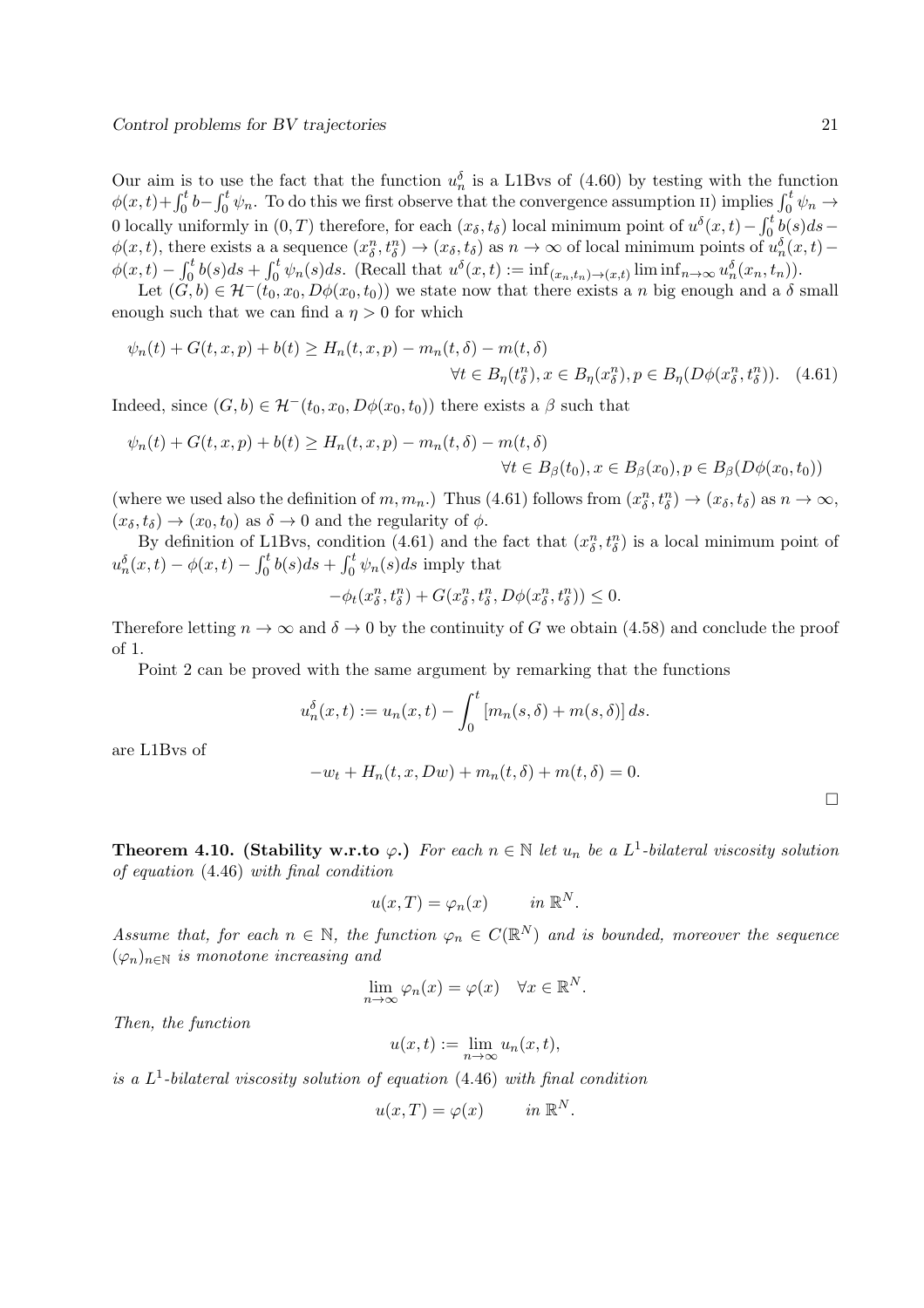Our aim is to use the fact that the function  $u_n^{\delta}$  is a L1Bvs of (4.60) by testing with the function  $\phi(x,t)+\int_0^t b-\int_0^t \psi_n$ . To do this we first observe that the convergence assumption ii) implies  $\int_0^t \psi_n \to$ 0 locally uniformly in  $(0, T)$  therefore, for each  $(x_\delta, t_\delta)$  local minimum point of  $u^\delta(x, t) - \int_0^t b(s)ds$  $\phi(x,t)$ , there exists a a sequence  $(x_\delta^n, t_\delta^n) \to (x_\delta, t_\delta)$  as  $n \to \infty$  of local minimum points of  $u_n^{\delta}(x,t)$  –  $\phi(x,t) - \int_0^t b(s)ds + \int_0^t \psi_n(s)ds.$  (Recall that  $u^{\delta}(x,t) := \inf_{(x_n,t_n) \to (x,t)} \liminf_{n \to \infty} u^{\delta}_n(x_n,t_n)$ ).

Let  $(G, b) \in \mathcal{H}^-(t_0, x_0, D\phi(x_0, t_0))$  we state now that there exists a n big enough and a  $\delta$  small enough such that we can find a  $\eta > 0$  for which

$$
\psi_n(t) + G(t, x, p) + b(t) \ge H_n(t, x, p) - m_n(t, \delta) - m(t, \delta)
$$
  

$$
\forall t \in B_\eta(t_\delta^n), x \in B_\eta(x_\delta^n), p \in B_\eta(D\phi(x_\delta^n, t_\delta^n)).
$$
 (4.61)

Indeed, since  $(G, b) \in \mathcal{H}^-(t_0, x_0, D\phi(x_0, t_0))$  there exists a  $\beta$  such that

$$
\psi_n(t) + G(t, x, p) + b(t) \ge H_n(t, x, p) - m_n(t, \delta) - m(t, \delta)
$$
  

$$
\forall t \in B_{\beta}(t_0), x \in B_{\beta}(x_0), p \in B_{\beta}(D\phi(x_0, t_0))
$$

(where we used also the definition of  $m, m_n$ .) Thus (4.61) follows from  $(x_\delta^n, t_\delta^n) \to (x_\delta, t_\delta)$  as  $n \to \infty$ ,  $(x_\delta, t_\delta) \to (x_0, t_0)$  as  $\delta \to 0$  and the regularity of  $\phi$ .

By definition of L1Bvs, condition (4.61) and the fact that  $(x_\delta^n, t_\delta^n)$  is a local minimum point of  $u_n^{\delta}(x,t) - \phi(x,t) - \int_0^t b(s)ds + \int_0^t \psi_n(s)ds$  imply that

$$
-\phi_t(x_\delta^n, t_\delta^n) + G(x_\delta^n, t_\delta^n, D\phi(x_\delta^n, t_\delta^n)) \leq 0.
$$

Therefore letting  $n \to \infty$  and  $\delta \to 0$  by the continuity of G we obtain (4.58) and conclude the proof of 1.

Point 2 can be proved with the same argument by remarking that the functions

$$
u_n^{\delta}(x,t) := u_n(x,t) - \int_0^t [m_n(s,\delta) + m(s,\delta)] ds.
$$

are L1Bvs of

$$
-w_t + H_n(t, x, Dw) + m_n(t, \delta) + m(t, \delta) = 0.
$$

Theorem 4.10. (Stability w.r.to  $\varphi$ .) *For each*  $n \in \mathbb{N}$  *let*  $u_n$  *be a*  $L^1$ -bilateral viscosity solution *of equation* (4.46) *with final condition*

$$
u(x,T) = \varphi_n(x) \quad in \, \mathbb{R}^N.
$$

*Assume that, for each*  $n \in \mathbb{N}$ , the function  $\varphi_n \in C(\mathbb{R}^N)$  and is bounded, moreover the sequence  $(\varphi_n)_{n\in\mathbb{N}}$  *is monotone increasing and* 

$$
\lim_{n \to \infty} \varphi_n(x) = \varphi(x) \quad \forall x \in \mathbb{R}^N.
$$

*Then, the function*

$$
u(x,t) := \lim_{n \to \infty} u_n(x,t),
$$

*is a* L 1 *-bilateral viscosity solution of equation* (4.46) *with final condition*

$$
u(x,T) = \varphi(x) \qquad in \ \mathbb{R}^N.
$$

 $\Box$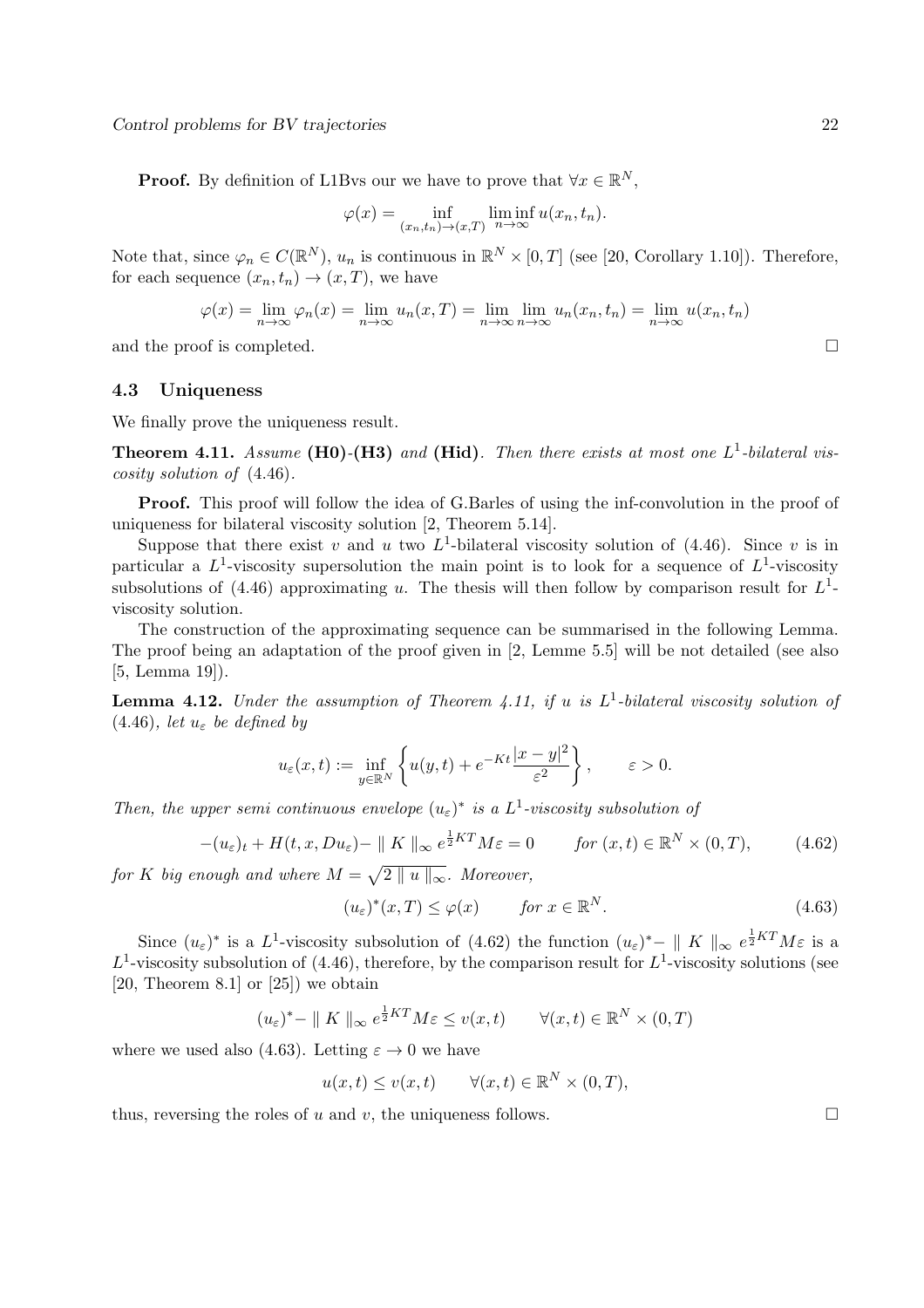Control problems for BV trajectories 22

**Proof.** By definition of L1Bvs our we have to prove that  $\forall x \in \mathbb{R}^N$ ,

$$
\varphi(x) = \inf_{(x_n, t_n) \to (x,T)} \liminf_{n \to \infty} u(x_n, t_n).
$$

Note that, since  $\varphi_n \in C(\mathbb{R}^N)$ ,  $u_n$  is continuous in  $\mathbb{R}^N \times [0,T]$  (see [20, Corollary 1.10]). Therefore, for each sequence  $(x_n, t_n) \to (x, T)$ , we have

$$
\varphi(x) = \lim_{n \to \infty} \varphi_n(x) = \lim_{n \to \infty} u_n(x, T) = \lim_{n \to \infty} \lim_{n \to \infty} u_n(x_n, t_n) = \lim_{n \to \infty} u(x_n, t_n)
$$

and the proof is completed.

#### 4.3 Uniqueness

We finally prove the uniqueness result.

Theorem 4.11. *Assume* (H0)*-*(H3) *and* (Hid)*. Then there exists at most one* L 1 *-bilateral viscosity solution of* (4.46)*.*

Proof. This proof will follow the idea of G.Barles of using the inf-convolution in the proof of uniqueness for bilateral viscosity solution [2, Theorem 5.14].

Suppose that there exist v and u two  $L^1$ -bilateral viscosity solution of (4.46). Since v is in particular a  $L^1$ -viscosity supersolution the main point is to look for a sequence of  $L^1$ -viscosity subsolutions of  $(4.46)$  approximating u. The thesis will then follow by comparison result for  $L<sup>1</sup>$ viscosity solution.

The construction of the approximating sequence can be summarised in the following Lemma. The proof being an adaptation of the proof given in [2, Lemme 5.5] will be not detailed (see also [5, Lemma 19]).

Lemma 4.12. *Under the assumption of Theorem 4.11, if* u *is* L 1 *-bilateral viscosity solution of*  $(4.46)$ *, let*  $u_{\varepsilon}$  *be defined by* 

$$
u_{\varepsilon}(x,t) := \inf_{y \in \mathbb{R}^N} \left\{ u(y,t) + e^{-Kt} \frac{|x-y|^2}{\varepsilon^2} \right\}, \qquad \varepsilon > 0.
$$

*Then, the upper semi continuous envelope*  $(u_\varepsilon)^*$  *is a*  $L^1$ -*viscosity subsolution of* 

$$
-(u_{\varepsilon})_t + H(t, x, Du_{\varepsilon}) - || K ||_{\infty} e^{\frac{1}{2}KT} M \varepsilon = 0 \qquad \text{for } (x, t) \in \mathbb{R}^N \times (0, T), \tag{4.62}
$$

*for* K big enough and where  $M = \sqrt{2 \parallel u \parallel_{\infty}}$ . Moreover,

$$
(u_{\varepsilon})^*(x,T) \le \varphi(x) \qquad \text{for } x \in \mathbb{R}^N. \tag{4.63}
$$

Since  $(u_{\varepsilon})^*$  is a L<sup>1</sup>-viscosity subsolution of (4.62) the function  $(u_{\varepsilon})^* - ||K||_{\infty} e^{\frac{1}{2}KT}M\varepsilon$  is a  $L^1$ -viscosity subsolution of (4.46), therefore, by the comparison result for  $L^1$ -viscosity solutions (see [20, Theorem 8.1] or  $[25]$ ] we obtain

$$
(u_{\varepsilon})^* - || K ||_{\infty} e^{\frac{1}{2}KT} M \varepsilon \le v(x, t) \qquad \forall (x, t) \in \mathbb{R}^N \times (0, T)
$$

where we used also (4.63). Letting  $\varepsilon \to 0$  we have

$$
u(x,t) \le v(x,t) \qquad \forall (x,t) \in \mathbb{R}^N \times (0,T),
$$

thus, reversing the roles of u and v, the uniqueness follows.  $\square$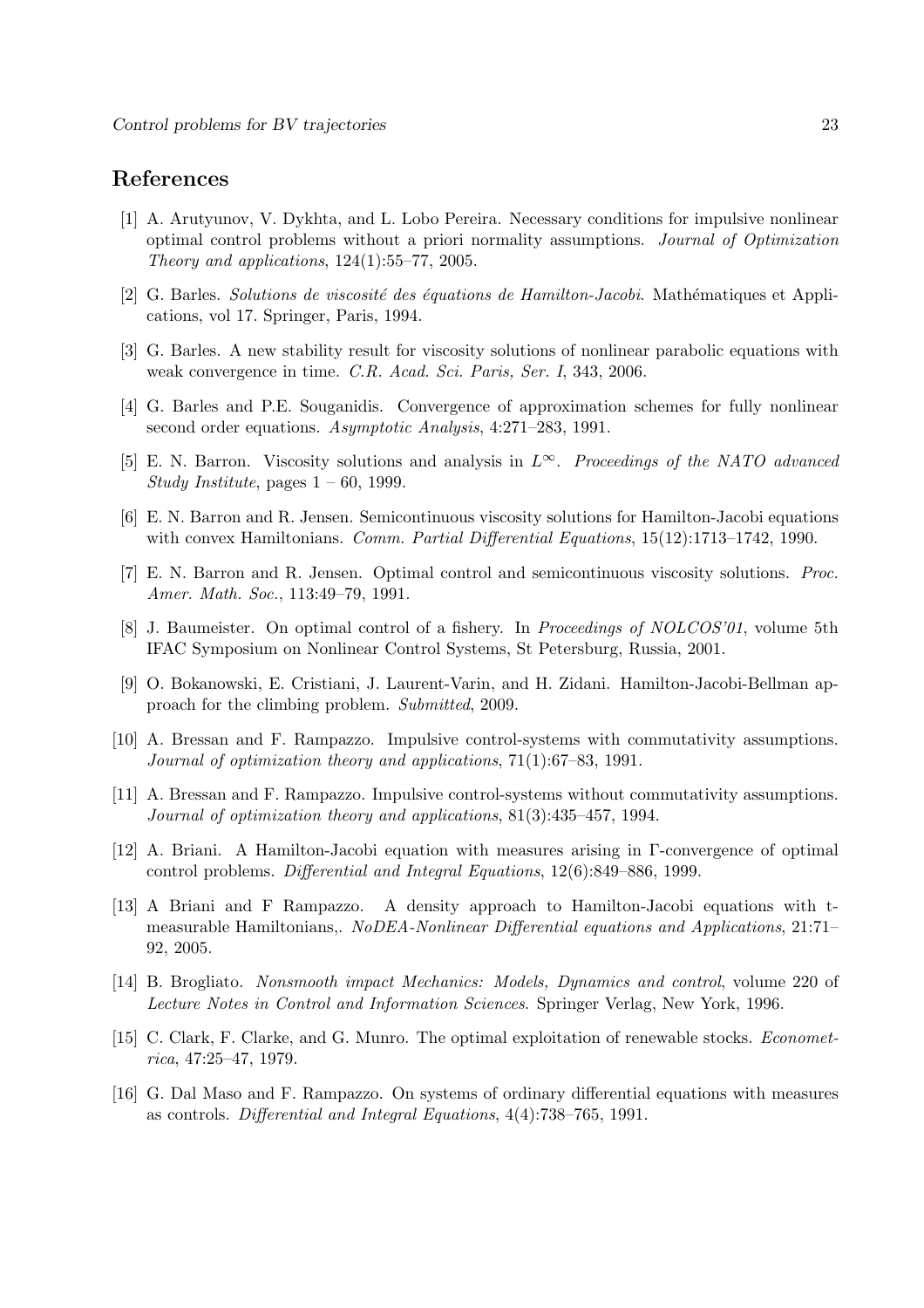## References

- [1] A. Arutyunov, V. Dykhta, and L. Lobo Pereira. Necessary conditions for impulsive nonlinear optimal control problems without a priori normality assumptions. *Journal of Optimization Theory and applications*, 124(1):55–77, 2005.
- [2] G. Barles. *Solutions de viscosité des équations de Hamilton-Jacobi*. Mathématiques et Applications, vol 17. Springer, Paris, 1994.
- [3] G. Barles. A new stability result for viscosity solutions of nonlinear parabolic equations with weak convergence in time. *C.R. Acad. Sci. Paris, Ser. I*, 343, 2006.
- [4] G. Barles and P.E. Souganidis. Convergence of approximation schemes for fully nonlinear second order equations. *Asymptotic Analysis*, 4:271–283, 1991.
- [5] E. N. Barron. Viscosity solutions and analysis in L∞. *Proceedings of the NATO advanced Study Institute*, pages 1 – 60, 1999.
- [6] E. N. Barron and R. Jensen. Semicontinuous viscosity solutions for Hamilton-Jacobi equations with convex Hamiltonians. *Comm. Partial Differential Equations*, 15(12):1713–1742, 1990.
- [7] E. N. Barron and R. Jensen. Optimal control and semicontinuous viscosity solutions. *Proc. Amer. Math. Soc.*, 113:49–79, 1991.
- [8] J. Baumeister. On optimal control of a fishery. In *Proceedings of NOLCOS'01*, volume 5th IFAC Symposium on Nonlinear Control Systems, St Petersburg, Russia, 2001.
- [9] O. Bokanowski, E. Cristiani, J. Laurent-Varin, and H. Zidani. Hamilton-Jacobi-Bellman approach for the climbing problem. *Submitted*, 2009.
- [10] A. Bressan and F. Rampazzo. Impulsive control-systems with commutativity assumptions. *Journal of optimization theory and applications*, 71(1):67–83, 1991.
- [11] A. Bressan and F. Rampazzo. Impulsive control-systems without commutativity assumptions. *Journal of optimization theory and applications*, 81(3):435–457, 1994.
- [12] A. Briani. A Hamilton-Jacobi equation with measures arising in Γ-convergence of optimal control problems. *Differential and Integral Equations*, 12(6):849–886, 1999.
- [13] A Briani and F Rampazzo. A density approach to Hamilton-Jacobi equations with tmeasurable Hamiltonians,. *NoDEA-Nonlinear Differential equations and Applications*, 21:71– 92, 2005.
- [14] B. Brogliato. *Nonsmooth impact Mechanics: Models, Dynamics and control*, volume 220 of *Lecture Notes in Control and Information Sciences*. Springer Verlag, New York, 1996.
- [15] C. Clark, F. Clarke, and G. Munro. The optimal exploitation of renewable stocks. *Econometrica*, 47:25–47, 1979.
- [16] G. Dal Maso and F. Rampazzo. On systems of ordinary differential equations with measures as controls. *Differential and Integral Equations*, 4(4):738–765, 1991.